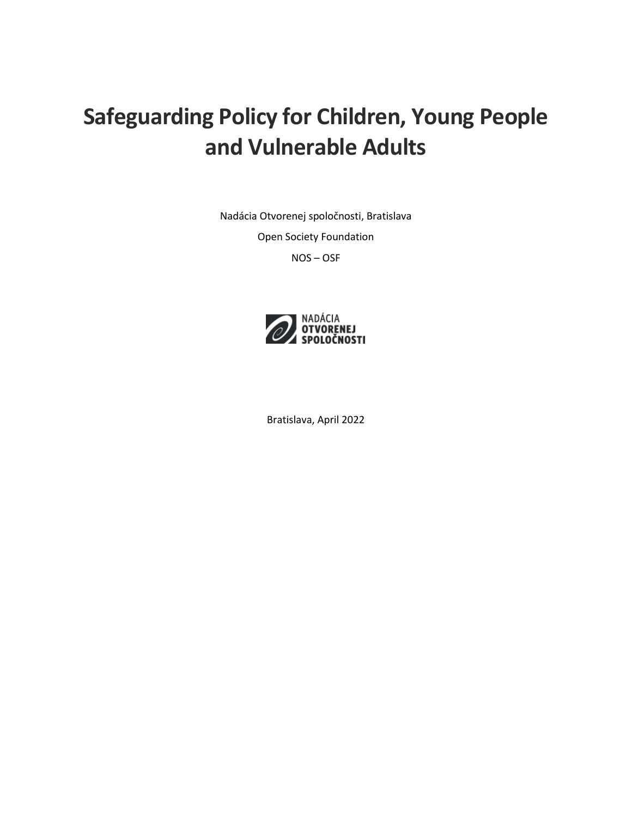# **Safeguarding Policy for Children, Young People and Vulnerable Adults**

Nadácia Otvorenej spoločnosti, Bratislava

Open Society Foundation

NOS – OSF



Bratislava, April 2022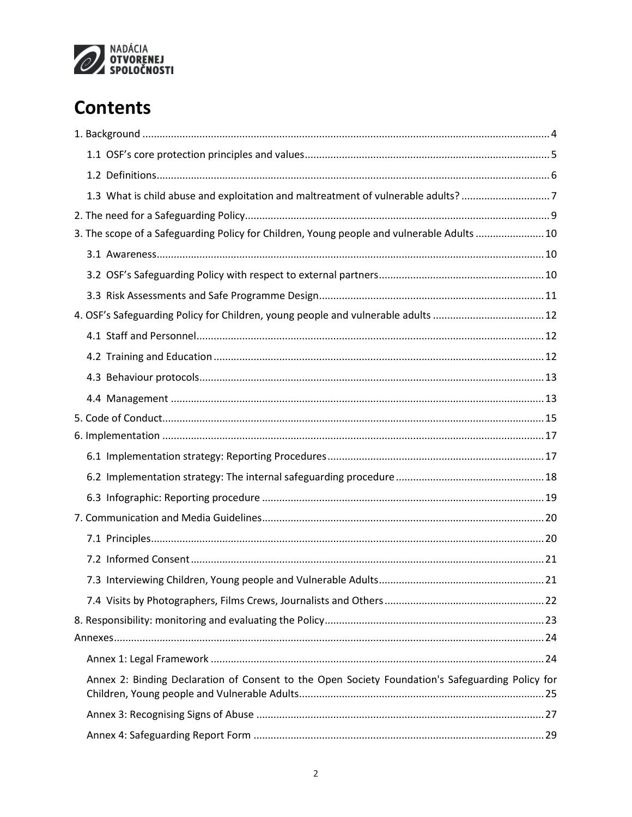

## **Contents**

| 1.3 What is child abuse and exploitation and maltreatment of vulnerable adults?7                 |  |
|--------------------------------------------------------------------------------------------------|--|
|                                                                                                  |  |
| 3. The scope of a Safeguarding Policy for Children, Young people and vulnerable Adults 10        |  |
|                                                                                                  |  |
|                                                                                                  |  |
|                                                                                                  |  |
| 4. OSF's Safeguarding Policy for Children, young people and vulnerable adults  12                |  |
|                                                                                                  |  |
|                                                                                                  |  |
|                                                                                                  |  |
|                                                                                                  |  |
|                                                                                                  |  |
|                                                                                                  |  |
|                                                                                                  |  |
|                                                                                                  |  |
|                                                                                                  |  |
|                                                                                                  |  |
|                                                                                                  |  |
|                                                                                                  |  |
|                                                                                                  |  |
|                                                                                                  |  |
|                                                                                                  |  |
|                                                                                                  |  |
|                                                                                                  |  |
| Annex 2: Binding Declaration of Consent to the Open Society Foundation's Safeguarding Policy for |  |
|                                                                                                  |  |
|                                                                                                  |  |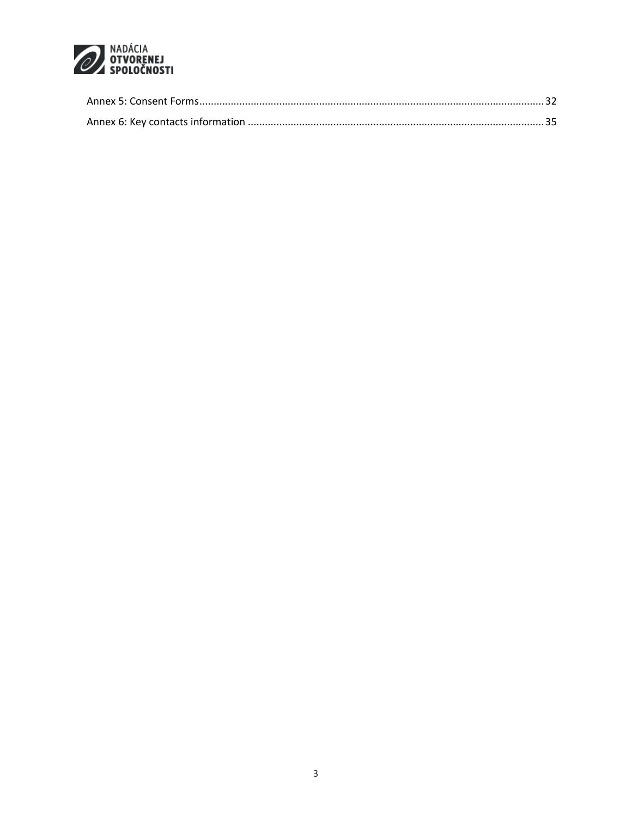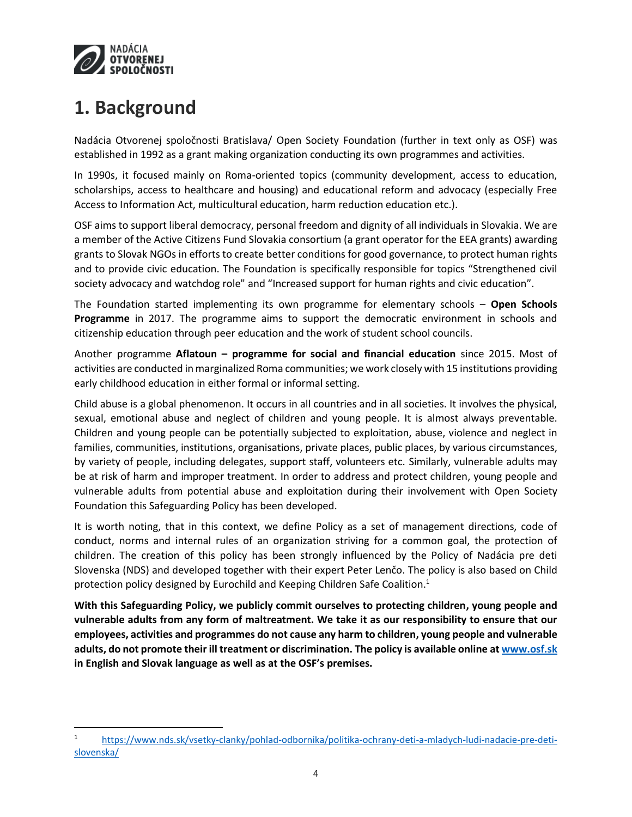

 $\overline{\phantom{a}}$ 

## <span id="page-3-0"></span>**1. Background**

Nadácia Otvorenej spoločnosti Bratislava/ Open Society Foundation (further in text only as OSF) was established in 1992 as a grant making organization conducting its own programmes and activities.

In 1990s, it focused mainly on Roma-oriented topics (community development, access to education, scholarships, access to healthcare and housing) and educational reform and advocacy (especially Free Access to Information Act, multicultural education, harm reduction education etc.).

OSF aims to support liberal democracy, personal freedom and dignity of all individuals in Slovakia. We are a member of the Active Citizens Fund Slovakia consortium (a grant operator for the EEA grants) awarding grants to Slovak NGOs in efforts to create better conditions for good governance, to protect human rights and to provide civic education. The Foundation is specifically responsible for topics "Strengthened civil society advocacy and watchdog role" and "Increased support for human rights and civic education".

The Foundation started implementing its own programme for elementary schools – **Open Schools Programme** in 2017. The programme aims to support the democratic environment in schools and citizenship education through peer education and the work of student school councils.

Another programme **Aflatoun – programme for social and financial education** since 2015. Most of activities are conducted in marginalized Roma communities; we work closely with 15 institutions providing early childhood education in either formal or informal setting.

Child abuse is a global phenomenon. It occurs in all countries and in all societies. It involves the physical, sexual, emotional abuse and neglect of children and young people. It is almost always preventable. Children and young people can be potentially subjected to exploitation, abuse, violence and neglect in families, communities, institutions, organisations, private places, public places, by various circumstances, by variety of people, including delegates, support staff, volunteers etc. Similarly, vulnerable adults may be at risk of harm and improper treatment. In order to address and protect children, young people and vulnerable adults from potential abuse and exploitation during their involvement with Open Society Foundation this Safeguarding Policy has been developed.

It is worth noting, that in this context, we define Policy as a set of management directions, code of conduct, norms and internal rules of an organization striving for a common goal, the protection of children. The creation of this policy has been strongly influenced by the Policy of Nadácia pre deti Slovenska (NDS) and developed together with their expert Peter Lenčo. The policy is also based on Child protection policy designed by Eurochild and Keeping Children Safe Coalition.<sup>1</sup>

**With this Safeguarding Policy, we publicly commit ourselves to protecting children, young people and vulnerable adults from any form of maltreatment. We take it as our responsibility to ensure that our employees, activities and programmes do not cause any harm to children, young people and vulnerable adults, do not promote their ill treatment or discrimination. The policy is available online at [www.osf.sk](http://www.osf.sk/) in English and Slovak language as well as at the OSF's premises.**

<sup>1</sup> [https://www.nds.sk/vsetky-clanky/pohlad-odbornika/politika-ochrany-deti-a-mladych-ludi-nadacie-pre-deti](https://www.nds.sk/vsetky-clanky/pohlad-odbornika/politika-ochrany-deti-a-mladych-ludi-nadacie-pre-deti-slovenska/)[slovenska/](https://www.nds.sk/vsetky-clanky/pohlad-odbornika/politika-ochrany-deti-a-mladych-ludi-nadacie-pre-deti-slovenska/)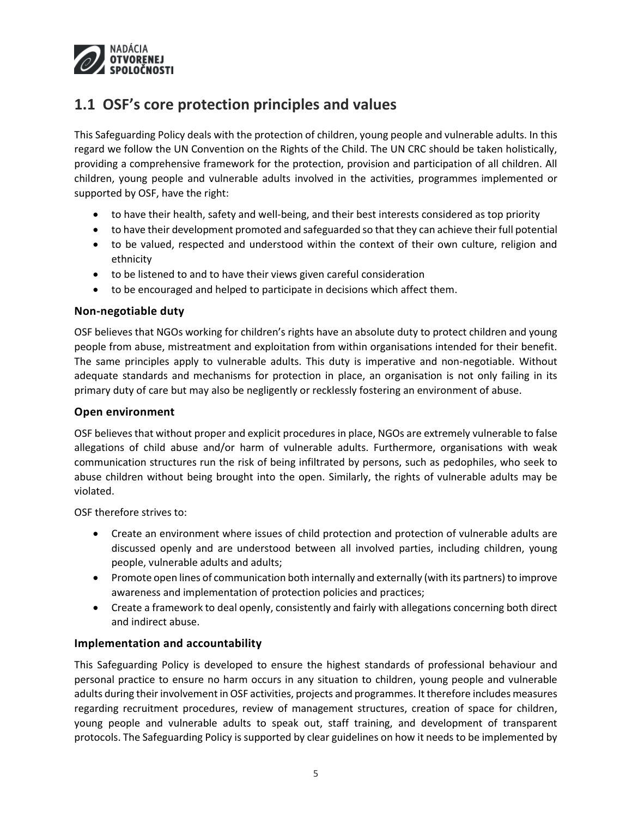

### <span id="page-4-0"></span>**1.1 OSF's core protection principles and values**

This Safeguarding Policy deals with the protection of children, young people and vulnerable adults. In this regard we follow the UN Convention on the Rights of the Child. The UN CRC should be taken holistically, providing a comprehensive framework for the protection, provision and participation of all children. All children, young people and vulnerable adults involved in the activities, programmes implemented or supported by OSF, have the right:

- to have their health, safety and well-being, and their best interests considered as top priority
- to have their development promoted and safeguarded so that they can achieve their full potential
- to be valued, respected and understood within the context of their own culture, religion and ethnicity
- to be listened to and to have their views given careful consideration
- to be encouraged and helped to participate in decisions which affect them.

#### **Non-negotiable duty**

OSF believes that NGOs working for children's rights have an absolute duty to protect children and young people from abuse, mistreatment and exploitation from within organisations intended for their benefit. The same principles apply to vulnerable adults. This duty is imperative and non-negotiable. Without adequate standards and mechanisms for protection in place, an organisation is not only failing in its primary duty of care but may also be negligently or recklessly fostering an environment of abuse.

#### **Open environment**

OSF believes that without proper and explicit procedures in place, NGOs are extremely vulnerable to false allegations of child abuse and/or harm of vulnerable adults. Furthermore, organisations with weak communication structures run the risk of being infiltrated by persons, such as pedophiles, who seek to abuse children without being brought into the open. Similarly, the rights of vulnerable adults may be violated.

OSF therefore strives to:

- Create an environment where issues of child protection and protection of vulnerable adults are discussed openly and are understood between all involved parties, including children, young people, vulnerable adults and adults;
- Promote open lines of communication both internally and externally (with its partners) to improve awareness and implementation of protection policies and practices;
- Create a framework to deal openly, consistently and fairly with allegations concerning both direct and indirect abuse.

#### **Implementation and accountability**

This Safeguarding Policy is developed to ensure the highest standards of professional behaviour and personal practice to ensure no harm occurs in any situation to children, young people and vulnerable adults during their involvement in OSF activities, projects and programmes. It therefore includes measures regarding recruitment procedures, review of management structures, creation of space for children, young people and vulnerable adults to speak out, staff training, and development of transparent protocols. The Safeguarding Policy is supported by clear guidelines on how it needs to be implemented by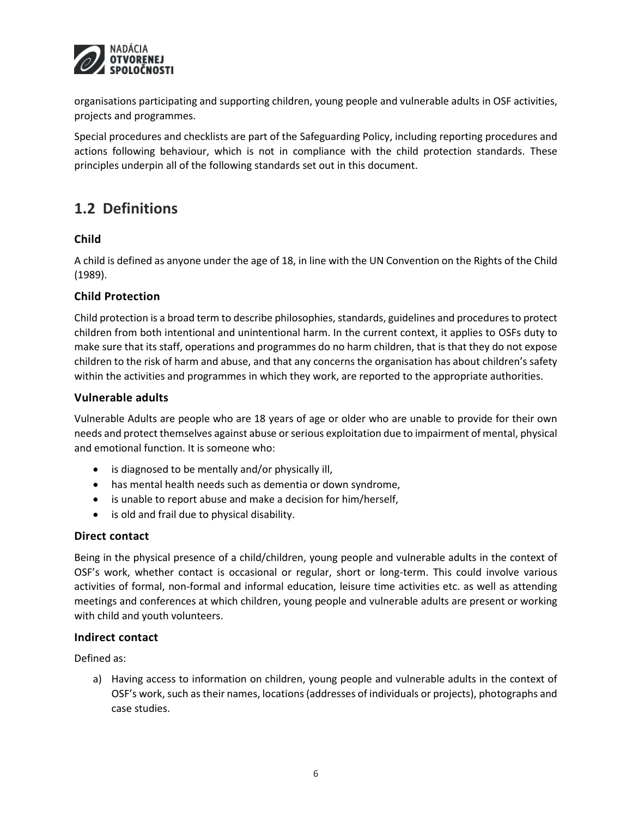

organisations participating and supporting children, young people and vulnerable adults in OSF activities, projects and programmes.

Special procedures and checklists are part of the Safeguarding Policy, including reporting procedures and actions following behaviour, which is not in compliance with the child protection standards. These principles underpin all of the following standards set out in this document.

### <span id="page-5-0"></span>**1.2 Definitions**

### **Child**

A child is defined as anyone under the age of 18, in line with the UN Convention on the Rights of the Child (1989).

### **Child Protection**

Child protection is a broad term to describe philosophies, standards, guidelines and procedures to protect children from both intentional and unintentional harm. In the current context, it applies to OSFs duty to make sure that its staff, operations and programmes do no harm children, that is that they do not expose children to the risk of harm and abuse, and that any concerns the organisation has about children's safety within the activities and programmes in which they work, are reported to the appropriate authorities.

### **Vulnerable adults**

Vulnerable Adults are people who are 18 years of age or older who are unable to provide for their own needs and protect themselves against abuse or serious exploitation due to impairment of mental, physical and emotional function. It is someone who:

- is diagnosed to be mentally and/or physically ill,
- has mental health needs such as dementia or down syndrome,
- is unable to report abuse and make a decision for him/herself,
- is old and frail due to physical disability.

### **Direct contact**

Being in the physical presence of a child/children, young people and vulnerable adults in the context of OSF's work, whether contact is occasional or regular, short or long-term. This could involve various activities of formal, non-formal and informal education, leisure time activities etc. as well as attending meetings and conferences at which children, young people and vulnerable adults are present or working with child and youth volunteers.

### **Indirect contact**

Defined as:

a) Having access to information on children, young people and vulnerable adults in the context of OSF's work, such as their names, locations (addresses of individuals or projects), photographs and case studies.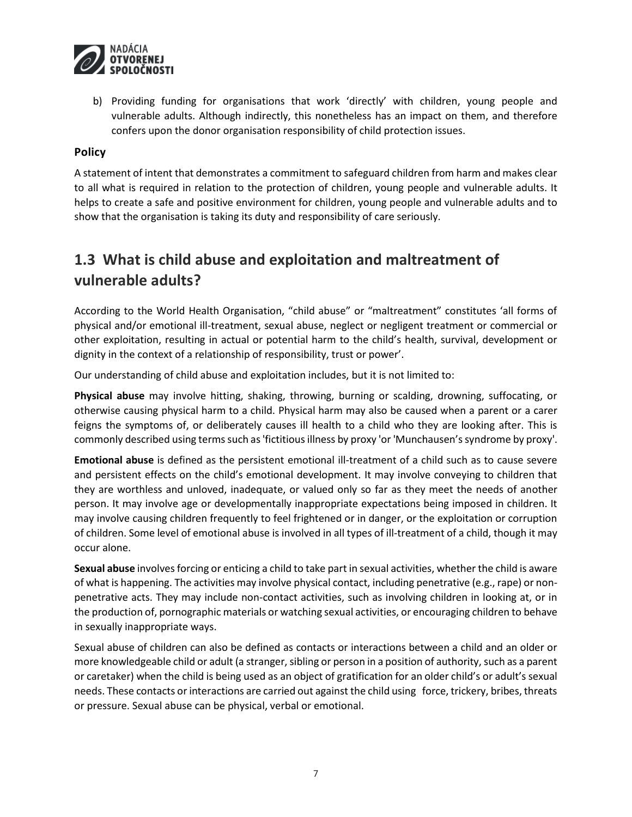

b) Providing funding for organisations that work 'directly' with children, young people and vulnerable adults. Although indirectly, this nonetheless has an impact on them, and therefore confers upon the donor organisation responsibility of child protection issues.

### **Policy**

A statement of intent that demonstrates a commitment to safeguard children from harm and makes clear to all what is required in relation to the protection of children, young people and vulnerable adults. It helps to create a safe and positive environment for children, young people and vulnerable adults and to show that the organisation is taking its duty and responsibility of care seriously.

### <span id="page-6-0"></span>**1.3 What is child abuse and exploitation and maltreatment of vulnerable adults?**

According to the World Health Organisation, "child abuse" or "maltreatment" constitutes 'all forms of physical and/or emotional ill-treatment, sexual abuse, neglect or negligent treatment or commercial or other exploitation, resulting in actual or potential harm to the child's health, survival, development or dignity in the context of a relationship of responsibility, trust or power'.

Our understanding of child abuse and exploitation includes, but it is not limited to:

**Physical abuse** may involve hitting, shaking, throwing, burning or scalding, drowning, suffocating, or otherwise causing physical harm to a child. Physical harm may also be caused when a parent or a carer feigns the symptoms of, or deliberately causes ill health to a child who they are looking after. This is commonly described using terms such as 'fictitious illness by proxy 'or 'Munchausen's syndrome by proxy'.

**Emotional abuse** is defined as the persistent emotional ill-treatment of a child such as to cause severe and persistent effects on the child's emotional development. It may involve conveying to children that they are worthless and unloved, inadequate, or valued only so far as they meet the needs of another person. It may involve age or developmentally inappropriate expectations being imposed in children. It may involve causing children frequently to feel frightened or in danger, or the exploitation or corruption of children. Some level of emotional abuse is involved in all types of ill-treatment of a child, though it may occur alone.

**Sexual abuse** involves forcing or enticing a child to take part in sexual activities, whether the child is aware of what is happening. The activities may involve physical contact, including penetrative (e.g., rape) or nonpenetrative acts. They may include non-contact activities, such as involving children in looking at, or in the production of, pornographic materials or watching sexual activities, or encouraging children to behave in sexually inappropriate ways.

Sexual abuse of children can also be defined as contacts or interactions between a child and an older or more knowledgeable child or adult (a stranger, sibling or person in a position of authority, such as a parent or caretaker) when the child is being used as an object of gratification for an older child's or adult's sexual needs. These contacts or interactions are carried out against the child using force, trickery, bribes, threats or pressure. Sexual abuse can be physical, verbal or emotional.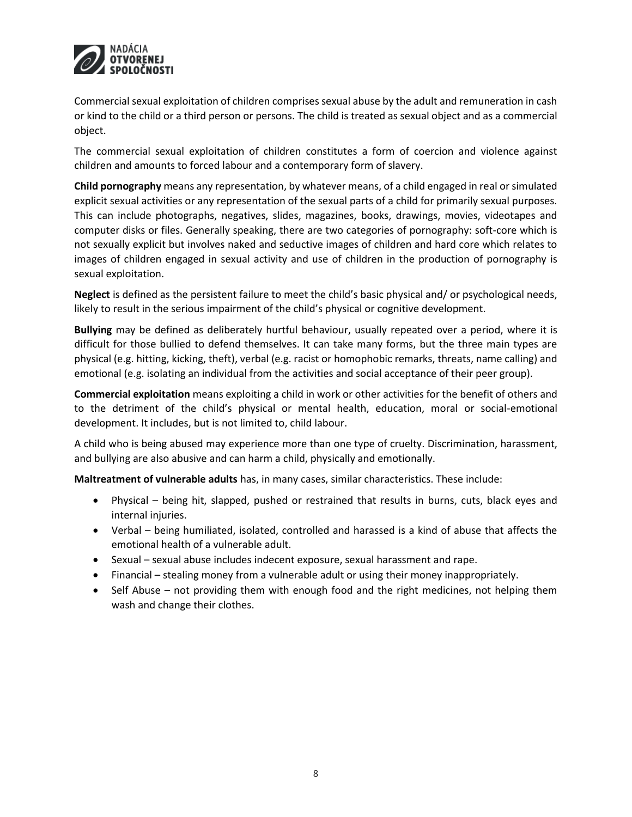

Commercial sexual exploitation of children comprises sexual abuse by the adult and remuneration in cash or kind to the child or a third person or persons. The child is treated as sexual object and as a commercial object.

The commercial sexual exploitation of children constitutes a form of coercion and violence against children and amounts to forced labour and a contemporary form of slavery.

**Child pornography** means any representation, by whatever means, of a child engaged in real or simulated explicit sexual activities or any representation of the sexual parts of a child for primarily sexual purposes. This can include photographs, negatives, slides, magazines, books, drawings, movies, videotapes and computer disks or files. Generally speaking, there are two categories of pornography: soft-core which is not sexually explicit but involves naked and seductive images of children and hard core which relates to images of children engaged in sexual activity and use of children in the production of pornography is sexual exploitation.

**Neglect** is defined as the persistent failure to meet the child's basic physical and/ or psychological needs, likely to result in the serious impairment of the child's physical or cognitive development.

**Bullying** may be defined as deliberately hurtful behaviour, usually repeated over a period, where it is difficult for those bullied to defend themselves. It can take many forms, but the three main types are physical (e.g. hitting, kicking, theft), verbal (e.g. racist or homophobic remarks, threats, name calling) and emotional (e.g. isolating an individual from the activities and social acceptance of their peer group).

**Commercial exploitation** means exploiting a child in work or other activities for the benefit of others and to the detriment of the child's physical or mental health, education, moral or social-emotional development. It includes, but is not limited to, child labour.

A child who is being abused may experience more than one type of cruelty. Discrimination, harassment, and bullying are also abusive and can harm a child, physically and emotionally.

**Maltreatment of vulnerable adults** has, in many cases, similar characteristics. These include:

- Physical being hit, slapped, pushed or restrained that results in burns, cuts, black eyes and internal injuries.
- Verbal being humiliated, isolated, controlled and harassed is a kind of abuse that affects the emotional health of a vulnerable adult.
- Sexual sexual abuse includes indecent exposure, sexual harassment and rape.
- Financial stealing money from a vulnerable adult or using their money inappropriately.
- Self Abuse not providing them with enough food and the right medicines, not helping them wash and change their clothes.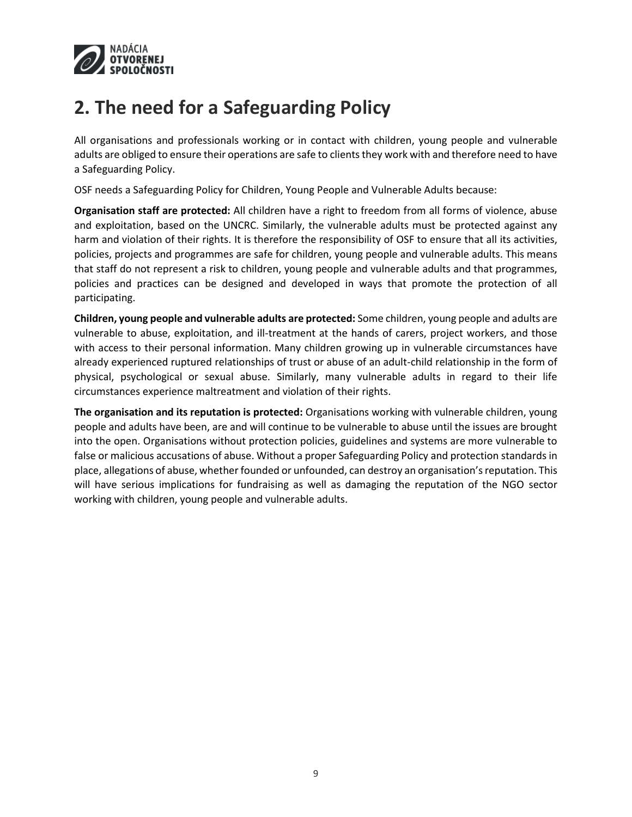

## <span id="page-8-0"></span>**2. The need for a Safeguarding Policy**

All organisations and professionals working or in contact with children, young people and vulnerable adults are obliged to ensure their operations are safe to clients they work with and therefore need to have a Safeguarding Policy.

OSF needs a Safeguarding Policy for Children, Young People and Vulnerable Adults because:

**Organisation staff are protected:** All children have a right to freedom from all forms of violence, abuse and exploitation, based on the UNCRC. Similarly, the vulnerable adults must be protected against any harm and violation of their rights. It is therefore the responsibility of OSF to ensure that all its activities, policies, projects and programmes are safe for children, young people and vulnerable adults. This means that staff do not represent a risk to children, young people and vulnerable adults and that programmes, policies and practices can be designed and developed in ways that promote the protection of all participating.

**Children, young people and vulnerable adults are protected:** Some children, young people and adults are vulnerable to abuse, exploitation, and ill-treatment at the hands of carers, project workers, and those with access to their personal information. Many children growing up in vulnerable circumstances have already experienced ruptured relationships of trust or abuse of an adult-child relationship in the form of physical, psychological or sexual abuse. Similarly, many vulnerable adults in regard to their life circumstances experience maltreatment and violation of their rights.

**The organisation and its reputation is protected:** Organisations working with vulnerable children, young people and adults have been, are and will continue to be vulnerable to abuse until the issues are brought into the open. Organisations without protection policies, guidelines and systems are more vulnerable to false or malicious accusations of abuse. Without a proper Safeguarding Policy and protection standards in place, allegations of abuse, whether founded or unfounded, can destroy an organisation's reputation. This will have serious implications for fundraising as well as damaging the reputation of the NGO sector working with children, young people and vulnerable adults.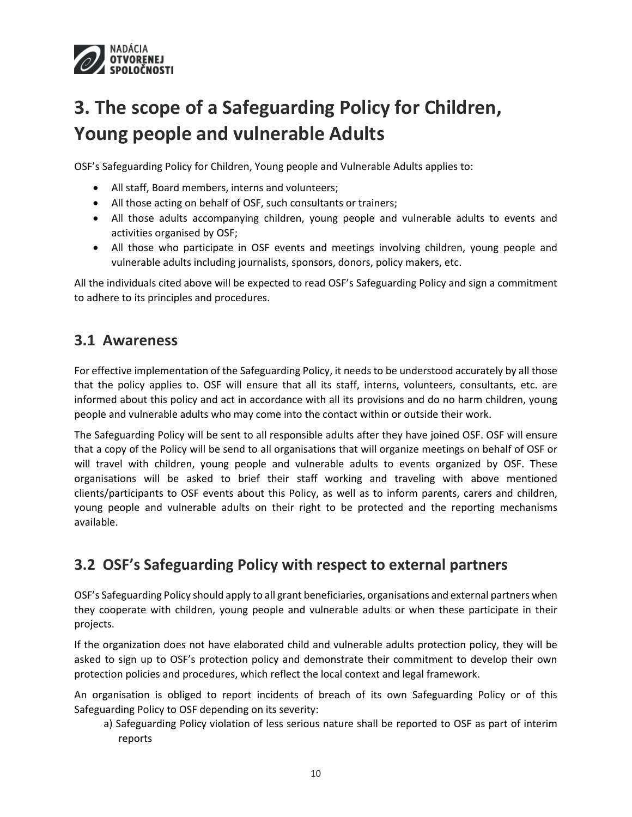

# <span id="page-9-0"></span>**3. The scope of a Safeguarding Policy for Children, Young people and vulnerable Adults**

OSF's Safeguarding Policy for Children, Young people and Vulnerable Adults applies to:

- All staff, Board members, interns and volunteers;
- All those acting on behalf of OSF, such consultants or trainers;
- All those adults accompanying children, young people and vulnerable adults to events and activities organised by OSF;
- All those who participate in OSF events and meetings involving children, young people and vulnerable adults including journalists, sponsors, donors, policy makers, etc.

All the individuals cited above will be expected to read OSF's Safeguarding Policy and sign a commitment to adhere to its principles and procedures.

### <span id="page-9-1"></span>**3.1 Awareness**

For effective implementation of the Safeguarding Policy, it needs to be understood accurately by all those that the policy applies to. OSF will ensure that all its staff, interns, volunteers, consultants, etc. are informed about this policy and act in accordance with all its provisions and do no harm children, young people and vulnerable adults who may come into the contact within or outside their work.

The Safeguarding Policy will be sent to all responsible adults after they have joined OSF. OSF will ensure that a copy of the Policy will be send to all organisations that will organize meetings on behalf of OSF or will travel with children, young people and vulnerable adults to events organized by OSF. These organisations will be asked to brief their staff working and traveling with above mentioned clients/participants to OSF events about this Policy, as well as to inform parents, carers and children, young people and vulnerable adults on their right to be protected and the reporting mechanisms available.

### <span id="page-9-2"></span>**3.2 OSF's Safeguarding Policy with respect to external partners**

OSF's Safeguarding Policy should apply to all grant beneficiaries, organisations and external partners when they cooperate with children, young people and vulnerable adults or when these participate in their projects.

If the organization does not have elaborated child and vulnerable adults protection policy, they will be asked to sign up to OSF's protection policy and demonstrate their commitment to develop their own protection policies and procedures, which reflect the local context and legal framework.

An organisation is obliged to report incidents of breach of its own Safeguarding Policy or of this Safeguarding Policy to OSF depending on its severity:

a) Safeguarding Policy violation of less serious nature shall be reported to OSF as part of interim reports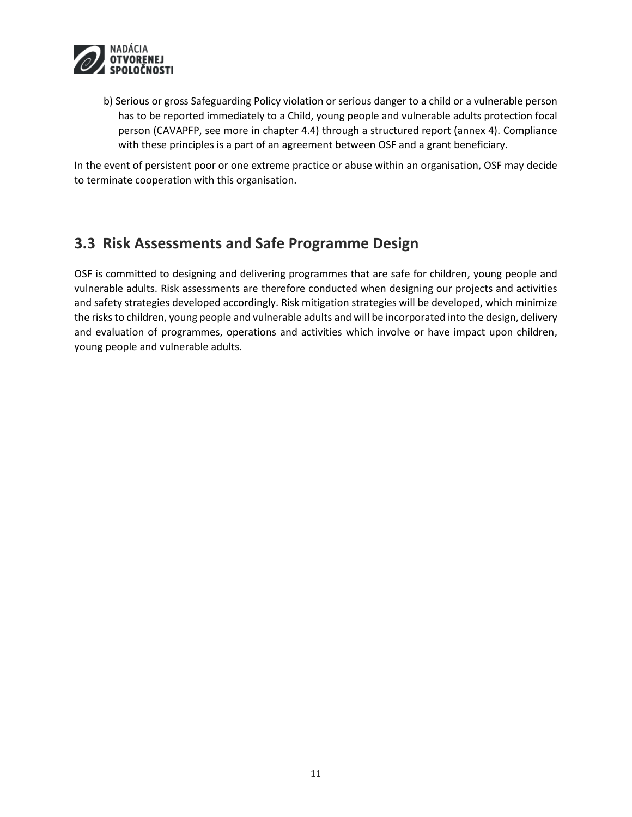

b) Serious or gross Safeguarding Policy violation or serious danger to a child or a vulnerable person has to be reported immediately to a Child, young people and vulnerable adults protection focal person (CAVAPFP, see more in chapter 4.4) through a structured report (annex 4). Compliance with these principles is a part of an agreement between OSF and a grant beneficiary.

In the event of persistent poor or one extreme practice or abuse within an organisation, OSF may decide to terminate cooperation with this organisation.

### <span id="page-10-0"></span>**3.3 Risk Assessments and Safe Programme Design**

OSF is committed to designing and delivering programmes that are safe for children, young people and vulnerable adults. Risk assessments are therefore conducted when designing our projects and activities and safety strategies developed accordingly. Risk mitigation strategies will be developed, which minimize the risks to children, young people and vulnerable adults and will be incorporated into the design, delivery and evaluation of programmes, operations and activities which involve or have impact upon children, young people and vulnerable adults.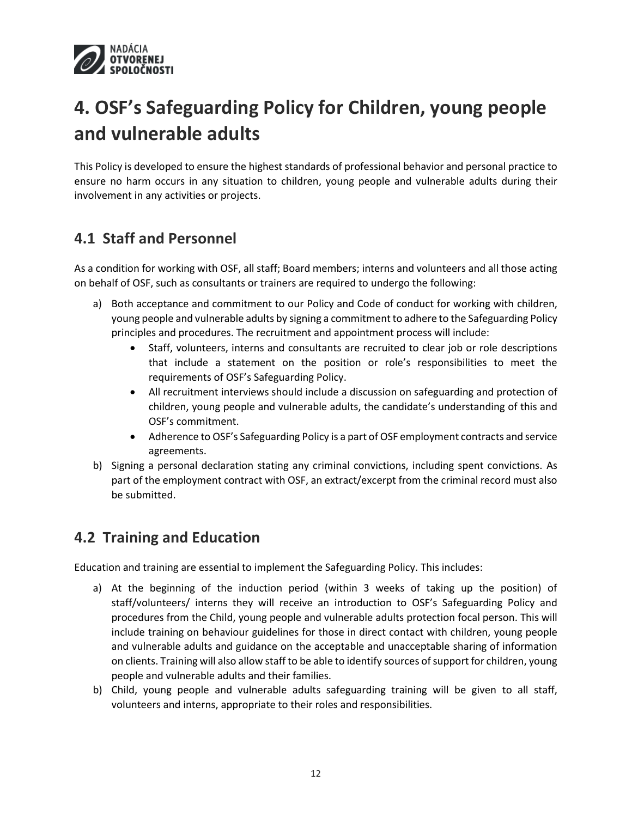

# <span id="page-11-0"></span>**4. OSF's Safeguarding Policy for Children, young people and vulnerable adults**

This Policy is developed to ensure the highest standards of professional behavior and personal practice to ensure no harm occurs in any situation to children, young people and vulnerable adults during their involvement in any activities or projects.

### <span id="page-11-1"></span>**4.1 Staff and Personnel**

As a condition for working with OSF, all staff; Board members; interns and volunteers and all those acting on behalf of OSF, such as consultants or trainers are required to undergo the following:

- a) Both acceptance and commitment to our Policy and Code of conduct for working with children, young people and vulnerable adults by signing a commitment to adhere to the Safeguarding Policy principles and procedures. The recruitment and appointment process will include:
	- Staff, volunteers, interns and consultants are recruited to clear job or role descriptions that include a statement on the position or role's responsibilities to meet the requirements of OSF's Safeguarding Policy.
	- All recruitment interviews should include a discussion on safeguarding and protection of children, young people and vulnerable adults, the candidate's understanding of this and OSF's commitment.
	- Adherence to OSF's Safeguarding Policy is a part of OSF employment contracts and service agreements.
- b) Signing a personal declaration stating any criminal convictions, including spent convictions. As part of the employment contract with OSF, an extract/excerpt from the criminal record must also be submitted.

### <span id="page-11-2"></span>**4.2 Training and Education**

Education and training are essential to implement the Safeguarding Policy. This includes:

- a) At the beginning of the induction period (within 3 weeks of taking up the position) of staff/volunteers/ interns they will receive an introduction to OSF's Safeguarding Policy and procedures from the Child, young people and vulnerable adults protection focal person. This will include training on behaviour guidelines for those in direct contact with children, young people and vulnerable adults and guidance on the acceptable and unacceptable sharing of information on clients. Training will also allow staff to be able to identify sources of support for children, young people and vulnerable adults and their families.
- b) Child, young people and vulnerable adults safeguarding training will be given to all staff, volunteers and interns, appropriate to their roles and responsibilities.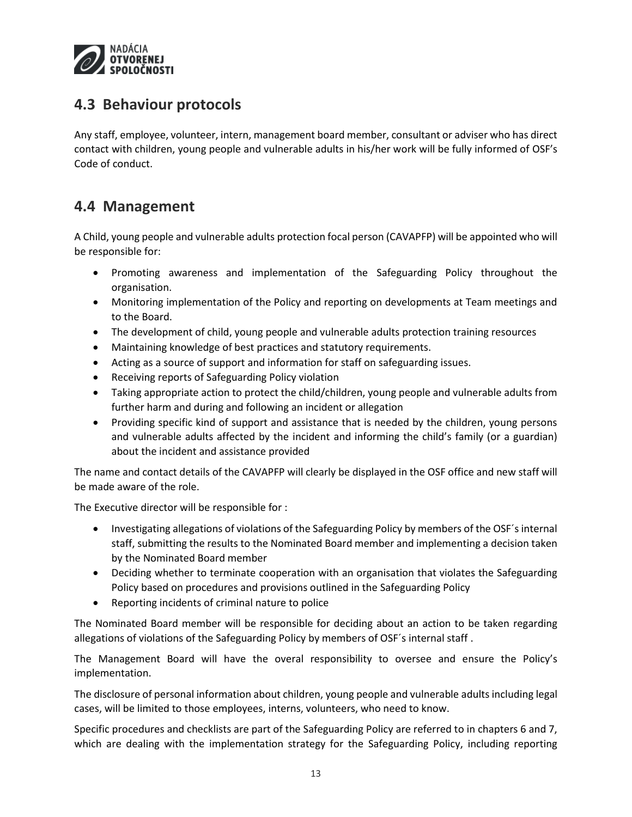

### <span id="page-12-0"></span>**4.3 Behaviour protocols**

Any staff, employee, volunteer, intern, management board member, consultant or adviser who has direct contact with children, young people and vulnerable adults in his/her work will be fully informed of OSF's Code of conduct.

### <span id="page-12-1"></span>**4.4 Management**

A Child, young people and vulnerable adults protection focal person (CAVAPFP) will be appointed who will be responsible for:

- Promoting awareness and implementation of the Safeguarding Policy throughout the organisation.
- Monitoring implementation of the Policy and reporting on developments at Team meetings and to the Board.
- The development of child, young people and vulnerable adults protection training resources
- Maintaining knowledge of best practices and statutory requirements.
- Acting as a source of support and information for staff on safeguarding issues.
- Receiving reports of Safeguarding Policy violation
- Taking appropriate action to protect the child/children, young people and vulnerable adults from further harm and during and following an incident or allegation
- Providing specific kind of support and assistance that is needed by the children, young persons and vulnerable adults affected by the incident and informing the child's family (or a guardian) about the incident and assistance provided

The name and contact details of the CAVAPFP will clearly be displayed in the OSF office and new staff will be made aware of the role.

The Executive director will be responsible for :

- Investigating allegations of violations of the Safeguarding Policy by members of the OSF´s internal staff, submitting the results to the Nominated Board member and implementing a decision taken by the Nominated Board member
- Deciding whether to terminate cooperation with an organisation that violates the Safeguarding Policy based on procedures and provisions outlined in the Safeguarding Policy
- Reporting incidents of criminal nature to police

The Nominated Board member will be responsible for deciding about an action to be taken regarding allegations of violations of the Safeguarding Policy by members of OSF´s internal staff .

The Management Board will have the overal responsibility to oversee and ensure the Policy's implementation.

The disclosure of personal information about children, young people and vulnerable adults including legal cases, will be limited to those employees, interns, volunteers, who need to know.

Specific procedures and checklists are part of the Safeguarding Policy are referred to in chapters 6 and 7, which are dealing with the implementation strategy for the Safeguarding Policy, including reporting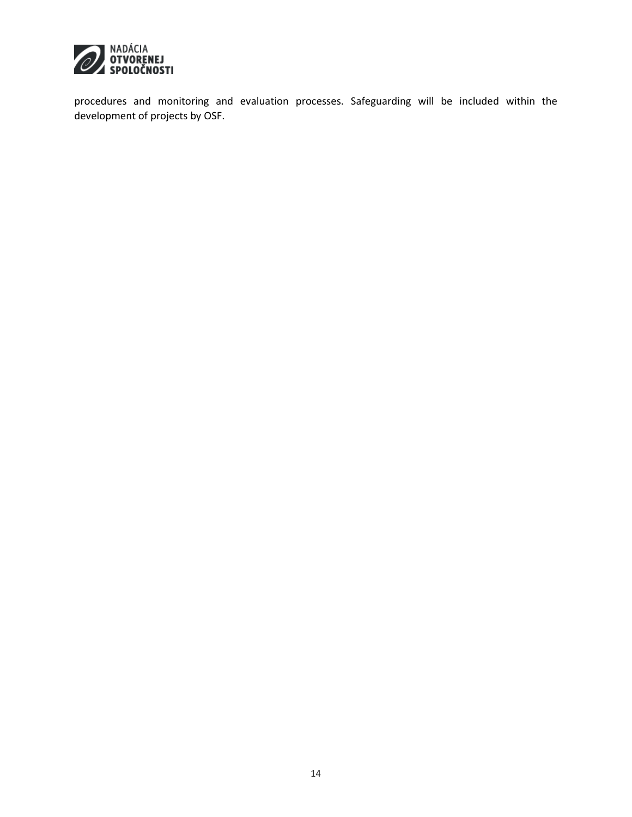

procedures and monitoring and evaluation processes. Safeguarding will be included within the development of projects by OSF.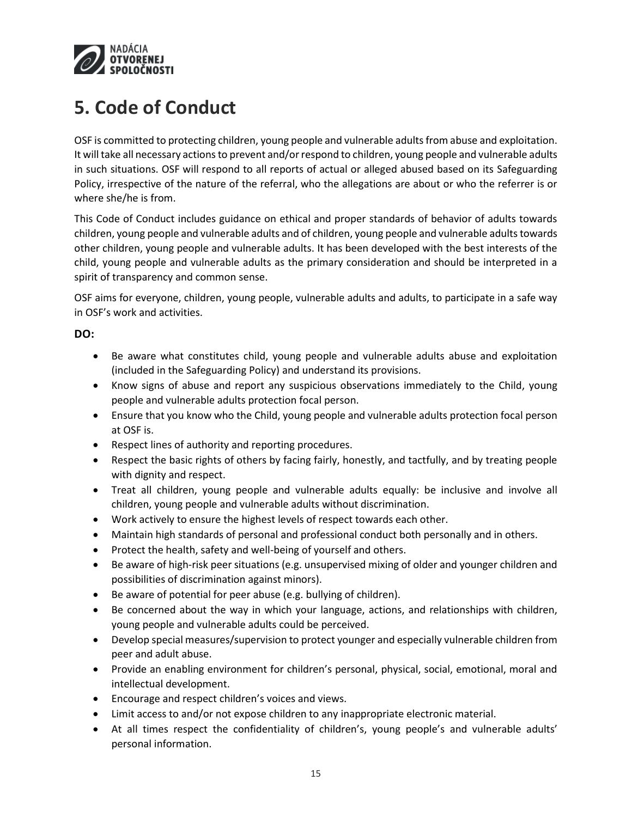

## <span id="page-14-0"></span>**5. Code of Conduct**

OSF is committed to protecting children, young people and vulnerable adultsfrom abuse and exploitation. It will take all necessary actions to prevent and/or respond to children, young people and vulnerable adults in such situations. OSF will respond to all reports of actual or alleged abused based on its Safeguarding Policy, irrespective of the nature of the referral, who the allegations are about or who the referrer is or where she/he is from.

This Code of Conduct includes guidance on ethical and proper standards of behavior of adults towards children, young people and vulnerable adults and of children, young people and vulnerable adults towards other children, young people and vulnerable adults. It has been developed with the best interests of the child, young people and vulnerable adults as the primary consideration and should be interpreted in a spirit of transparency and common sense.

OSF aims for everyone, children, young people, vulnerable adults and adults, to participate in a safe way in OSF's work and activities.

### **DO:**

- Be aware what constitutes child, young people and vulnerable adults abuse and exploitation (included in the Safeguarding Policy) and understand its provisions.
- Know signs of abuse and report any suspicious observations immediately to the Child, young people and vulnerable adults protection focal person.
- Ensure that you know who the Child, young people and vulnerable adults protection focal person at OSF is.
- Respect lines of authority and reporting procedures.
- Respect the basic rights of others by facing fairly, honestly, and tactfully, and by treating people with dignity and respect.
- Treat all children, young people and vulnerable adults equally: be inclusive and involve all children, young people and vulnerable adults without discrimination.
- Work actively to ensure the highest levels of respect towards each other.
- Maintain high standards of personal and professional conduct both personally and in others.
- Protect the health, safety and well-being of yourself and others.
- Be aware of high-risk peer situations (e.g. unsupervised mixing of older and younger children and possibilities of discrimination against minors).
- Be aware of potential for peer abuse (e.g. bullying of children).
- Be concerned about the way in which your language, actions, and relationships with children, young people and vulnerable adults could be perceived.
- Develop special measures/supervision to protect younger and especially vulnerable children from peer and adult abuse.
- Provide an enabling environment for children's personal, physical, social, emotional, moral and intellectual development.
- Encourage and respect children's voices and views.
- Limit access to and/or not expose children to any inappropriate electronic material.
- At all times respect the confidentiality of children's, young people's and vulnerable adults' personal information.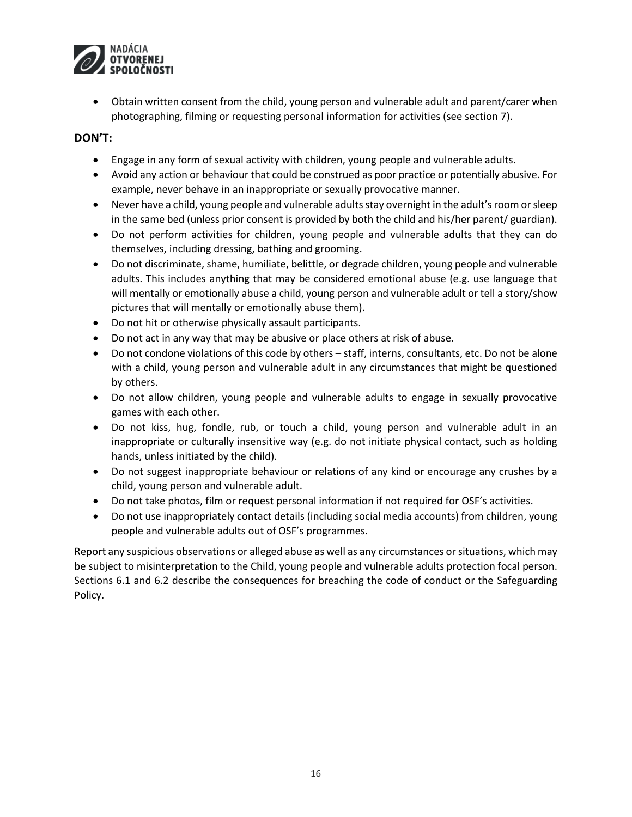

 Obtain written consent from the child, young person and vulnerable adult and parent/carer when photographing, filming or requesting personal information for activities (see section 7).

### **DON'T:**

- Engage in any form of sexual activity with children, young people and vulnerable adults.
- Avoid any action or behaviour that could be construed as poor practice or potentially abusive. For example, never behave in an inappropriate or sexually provocative manner.
- Never have a child, young people and vulnerable adultsstay overnight in the adult's room or sleep in the same bed (unless prior consent is provided by both the child and his/her parent/ guardian).
- Do not perform activities for children, young people and vulnerable adults that they can do themselves, including dressing, bathing and grooming.
- Do not discriminate, shame, humiliate, belittle, or degrade children, young people and vulnerable adults. This includes anything that may be considered emotional abuse (e.g. use language that will mentally or emotionally abuse a child, young person and vulnerable adult or tell a story/show pictures that will mentally or emotionally abuse them).
- Do not hit or otherwise physically assault participants.
- Do not act in any way that may be abusive or place others at risk of abuse.
- Do not condone violations of this code by others staff, interns, consultants, etc. Do not be alone with a child, young person and vulnerable adult in any circumstances that might be questioned by others.
- Do not allow children, young people and vulnerable adults to engage in sexually provocative games with each other.
- Do not kiss, hug, fondle, rub, or touch a child, young person and vulnerable adult in an inappropriate or culturally insensitive way (e.g. do not initiate physical contact, such as holding hands, unless initiated by the child).
- Do not suggest inappropriate behaviour or relations of any kind or encourage any crushes by a child, young person and vulnerable adult.
- Do not take photos, film or request personal information if not required for OSF's activities.
- Do not use inappropriately contact details (including social media accounts) from children, young people and vulnerable adults out of OSF's programmes.

Report any suspicious observations or alleged abuse as well as any circumstances or situations, which may be subject to misinterpretation to the Child, young people and vulnerable adults protection focal person. Sections 6.1 and 6.2 describe the consequences for breaching the code of conduct or the Safeguarding Policy.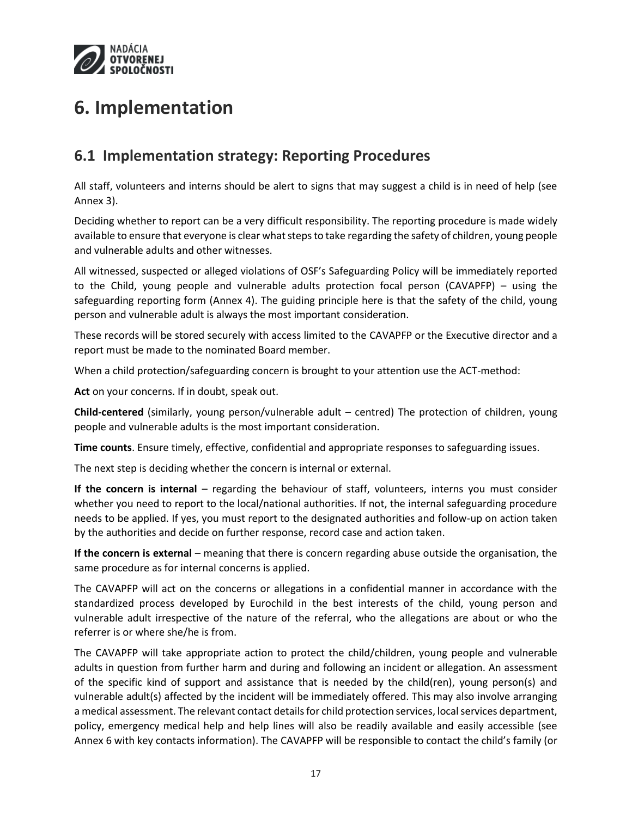

## <span id="page-16-0"></span>**6. Implementation**

### <span id="page-16-1"></span>**6.1 Implementation strategy: Reporting Procedures**

All staff, volunteers and interns should be alert to signs that may suggest a child is in need of help (see Annex 3).

Deciding whether to report can be a very difficult responsibility. The reporting procedure is made widely available to ensure that everyone is clear what steps to take regarding the safety of children, young people and vulnerable adults and other witnesses.

All witnessed, suspected or alleged violations of OSF's Safeguarding Policy will be immediately reported to the Child, young people and vulnerable adults protection focal person (CAVAPFP) – using the safeguarding reporting form (Annex 4). The guiding principle here is that the safety of the child, young person and vulnerable adult is always the most important consideration.

These records will be stored securely with access limited to the CAVAPFP or the Executive director and a report must be made to the nominated Board member.

When a child protection/safeguarding concern is brought to your attention use the ACT-method:

**Act** on your concerns. If in doubt, speak out.

**Child-centered** (similarly, young person/vulnerable adult – centred) The protection of children, young people and vulnerable adults is the most important consideration.

**Time counts**. Ensure timely, effective, confidential and appropriate responses to safeguarding issues.

The next step is deciding whether the concern is internal or external.

**If the concern is internal** – regarding the behaviour of staff, volunteers, interns you must consider whether you need to report to the local/national authorities. If not, the internal safeguarding procedure needs to be applied. If yes, you must report to the designated authorities and follow-up on action taken by the authorities and decide on further response, record case and action taken.

**If the concern is external** – meaning that there is concern regarding abuse outside the organisation, the same procedure as for internal concerns is applied.

The CAVAPFP will act on the concerns or allegations in a confidential manner in accordance with the standardized process developed by Eurochild in the best interests of the child, young person and vulnerable adult irrespective of the nature of the referral, who the allegations are about or who the referrer is or where she/he is from.

The CAVAPFP will take appropriate action to protect the child/children, young people and vulnerable adults in question from further harm and during and following an incident or allegation. An assessment of the specific kind of support and assistance that is needed by the child(ren), young person(s) and vulnerable adult(s) affected by the incident will be immediately offered. This may also involve arranging a medical assessment. The relevant contact details for child protection services, local services department, policy, emergency medical help and help lines will also be readily available and easily accessible (see Annex 6 with key contacts information). The CAVAPFP will be responsible to contact the child's family (or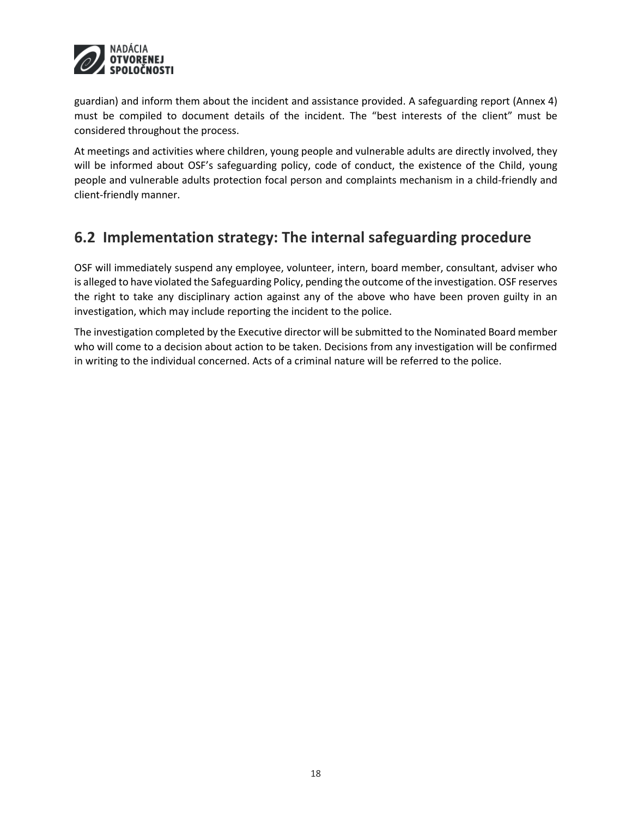

guardian) and inform them about the incident and assistance provided. A safeguarding report (Annex 4) must be compiled to document details of the incident. The "best interests of the client" must be considered throughout the process.

At meetings and activities where children, young people and vulnerable adults are directly involved, they will be informed about OSF's safeguarding policy, code of conduct, the existence of the Child, young people and vulnerable adults protection focal person and complaints mechanism in a child-friendly and client-friendly manner.

### <span id="page-17-0"></span>**6.2 Implementation strategy: The internal safeguarding procedure**

OSF will immediately suspend any employee, volunteer, intern, board member, consultant, adviser who is alleged to have violated the Safeguarding Policy, pending the outcome of the investigation. OSF reserves the right to take any disciplinary action against any of the above who have been proven guilty in an investigation, which may include reporting the incident to the police.

The investigation completed by the Executive director will be submitted to the Nominated Board member who will come to a decision about action to be taken. Decisions from any investigation will be confirmed in writing to the individual concerned. Acts of a criminal nature will be referred to the police.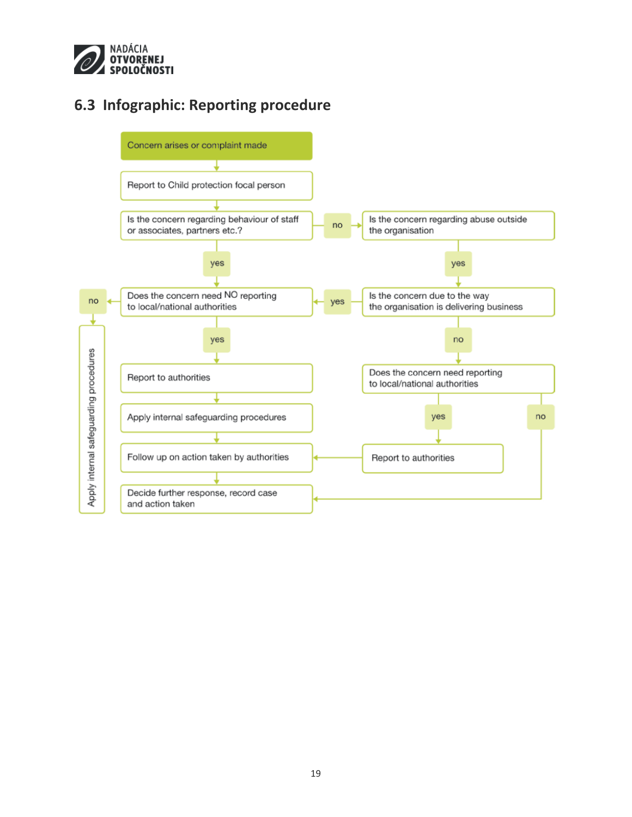

### <span id="page-18-0"></span>**6.3 Infographic: Reporting procedure**

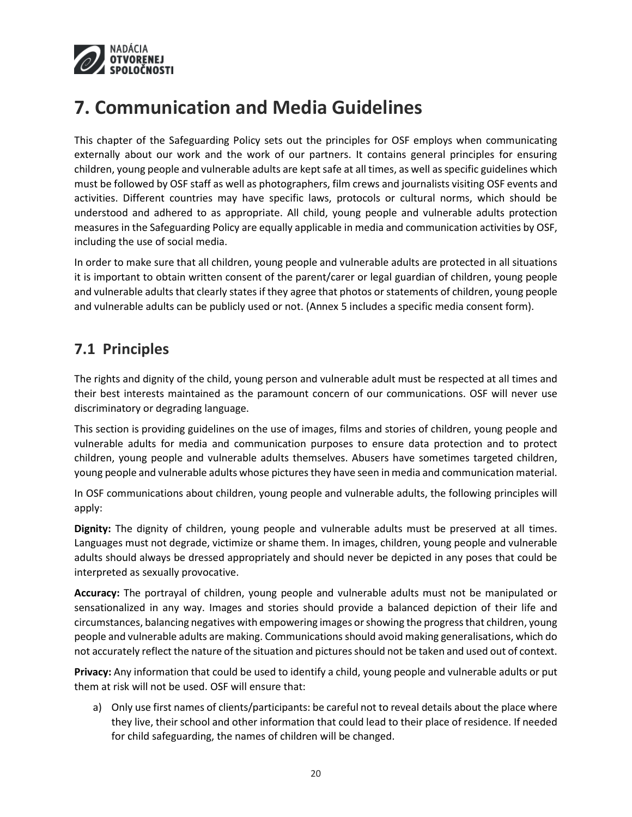

## <span id="page-19-0"></span>**7. Communication and Media Guidelines**

This chapter of the Safeguarding Policy sets out the principles for OSF employs when communicating externally about our work and the work of our partners. It contains general principles for ensuring children, young people and vulnerable adults are kept safe at all times, as well as specific guidelines which must be followed by OSF staff as well as photographers, film crews and journalists visiting OSF events and activities. Different countries may have specific laws, protocols or cultural norms, which should be understood and adhered to as appropriate. All child, young people and vulnerable adults protection measures in the Safeguarding Policy are equally applicable in media and communication activities by OSF, including the use of social media.

In order to make sure that all children, young people and vulnerable adults are protected in all situations it is important to obtain written consent of the parent/carer or legal guardian of children, young people and vulnerable adults that clearly states if they agree that photos or statements of children, young people and vulnerable adults can be publicly used or not. (Annex 5 includes a specific media consent form).

### <span id="page-19-1"></span>**7.1 Principles**

The rights and dignity of the child, young person and vulnerable adult must be respected at all times and their best interests maintained as the paramount concern of our communications. OSF will never use discriminatory or degrading language.

This section is providing guidelines on the use of images, films and stories of children, young people and vulnerable adults for media and communication purposes to ensure data protection and to protect children, young people and vulnerable adults themselves. Abusers have sometimes targeted children, young people and vulnerable adults whose pictures they have seen in media and communication material.

In OSF communications about children, young people and vulnerable adults, the following principles will apply:

**Dignity:** The dignity of children, young people and vulnerable adults must be preserved at all times. Languages must not degrade, victimize or shame them. In images, children, young people and vulnerable adults should always be dressed appropriately and should never be depicted in any poses that could be interpreted as sexually provocative.

**Accuracy:** The portrayal of children, young people and vulnerable adults must not be manipulated or sensationalized in any way. Images and stories should provide a balanced depiction of their life and circumstances, balancing negatives with empowering images or showing the progress that children, young people and vulnerable adults are making. Communications should avoid making generalisations, which do not accurately reflect the nature of the situation and pictures should not be taken and used out of context.

**Privacy:** Any information that could be used to identify a child, young people and vulnerable adults or put them at risk will not be used. OSF will ensure that:

a) Only use first names of clients/participants: be careful not to reveal details about the place where they live, their school and other information that could lead to their place of residence. If needed for child safeguarding, the names of children will be changed.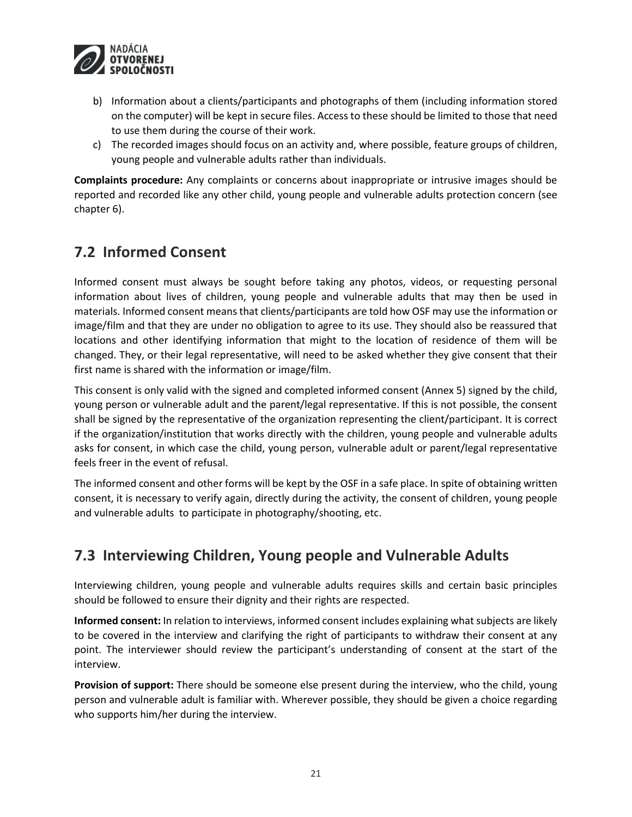

- b) Information about a clients/participants and photographs of them (including information stored on the computer) will be kept in secure files. Access to these should be limited to those that need to use them during the course of their work.
- c) The recorded images should focus on an activity and, where possible, feature groups of children, young people and vulnerable adults rather than individuals.

**Complaints procedure:** Any complaints or concerns about inappropriate or intrusive images should be reported and recorded like any other child, young people and vulnerable adults protection concern (see chapter 6).

### <span id="page-20-0"></span>**7.2 Informed Consent**

Informed consent must always be sought before taking any photos, videos, or requesting personal information about lives of children, young people and vulnerable adults that may then be used in materials. Informed consent means that clients/participants are told how OSF may use the information or image/film and that they are under no obligation to agree to its use. They should also be reassured that locations and other identifying information that might to the location of residence of them will be changed. They, or their legal representative, will need to be asked whether they give consent that their first name is shared with the information or image/film.

This consent is only valid with the signed and completed informed consent (Annex 5) signed by the child, young person or vulnerable adult and the parent/legal representative. If this is not possible, the consent shall be signed by the representative of the organization representing the client/participant. It is correct if the organization/institution that works directly with the children, young people and vulnerable adults asks for consent, in which case the child, young person, vulnerable adult or parent/legal representative feels freer in the event of refusal.

The informed consent and other forms will be kept by the OSF in a safe place. In spite of obtaining written consent, it is necessary to verify again, directly during the activity, the consent of children, young people and vulnerable adults to participate in photography/shooting, etc.

### <span id="page-20-1"></span>**7.3 Interviewing Children, Young people and Vulnerable Adults**

Interviewing children, young people and vulnerable adults requires skills and certain basic principles should be followed to ensure their dignity and their rights are respected.

**Informed consent:** In relation to interviews, informed consent includes explaining what subjects are likely to be covered in the interview and clarifying the right of participants to withdraw their consent at any point. The interviewer should review the participant's understanding of consent at the start of the interview.

**Provision of support:** There should be someone else present during the interview, who the child, young person and vulnerable adult is familiar with. Wherever possible, they should be given a choice regarding who supports him/her during the interview.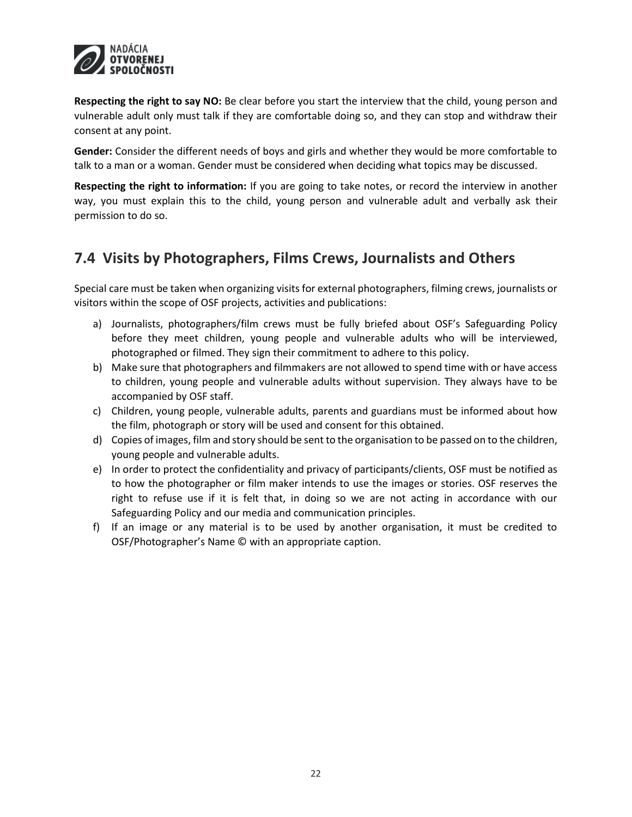

**Respecting the right to say NO:** Be clear before you start the interview that the child, young person and vulnerable adult only must talk if they are comfortable doing so, and they can stop and withdraw their consent at any point.

**Gender:** Consider the different needs of boys and girls and whether they would be more comfortable to talk to a man or a woman. Gender must be considered when deciding what topics may be discussed.

**Respecting the right to information:** If you are going to take notes, or record the interview in another way, you must explain this to the child, young person and vulnerable adult and verbally ask their permission to do so.

### <span id="page-21-0"></span>**7.4 Visits by Photographers, Films Crews, Journalists and Others**

Special care must be taken when organizing visits for external photographers, filming crews, journalists or visitors within the scope of OSF projects, activities and publications:

- a) Journalists, photographers/film crews must be fully briefed about OSF's Safeguarding Policy before they meet children, young people and vulnerable adults who will be interviewed, photographed or filmed. They sign their commitment to adhere to this policy.
- b) Make sure that photographers and filmmakers are not allowed to spend time with or have access to children, young people and vulnerable adults without supervision. They always have to be accompanied by OSF staff.
- c) Children, young people, vulnerable adults, parents and guardians must be informed about how the film, photograph or story will be used and consent for this obtained.
- d) Copies of images, film and story should be sent to the organisation to be passed on to the children, young people and vulnerable adults.
- e) In order to protect the confidentiality and privacy of participants/clients, OSF must be notified as to how the photographer or film maker intends to use the images or stories. OSF reserves the right to refuse use if it is felt that, in doing so we are not acting in accordance with our Safeguarding Policy and our media and communication principles.
- f) If an image or any material is to be used by another organisation, it must be credited to OSF/Photographer's Name © with an appropriate caption.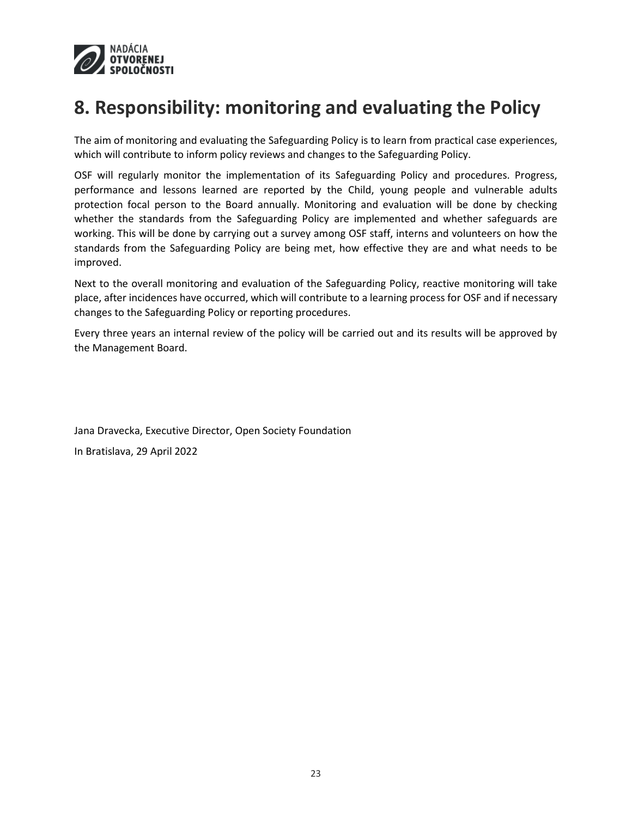

## <span id="page-22-0"></span>**8. Responsibility: monitoring and evaluating the Policy**

The aim of monitoring and evaluating the Safeguarding Policy is to learn from practical case experiences, which will contribute to inform policy reviews and changes to the Safeguarding Policy.

OSF will regularly monitor the implementation of its Safeguarding Policy and procedures. Progress, performance and lessons learned are reported by the Child, young people and vulnerable adults protection focal person to the Board annually. Monitoring and evaluation will be done by checking whether the standards from the Safeguarding Policy are implemented and whether safeguards are working. This will be done by carrying out a survey among OSF staff, interns and volunteers on how the standards from the Safeguarding Policy are being met, how effective they are and what needs to be improved.

Next to the overall monitoring and evaluation of the Safeguarding Policy, reactive monitoring will take place, after incidences have occurred, which will contribute to a learning process for OSF and if necessary changes to the Safeguarding Policy or reporting procedures.

Every three years an internal review of the policy will be carried out and its results will be approved by the Management Board.

Jana Dravecka, Executive Director, Open Society Foundation In Bratislava, 29 April 2022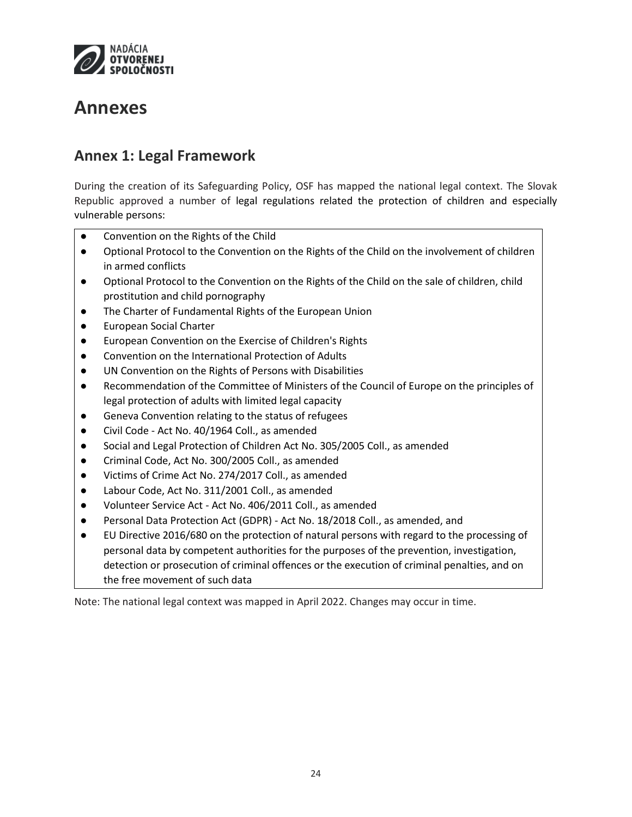

## <span id="page-23-0"></span>**Annexes**

### <span id="page-23-1"></span>**Annex 1: Legal Framework**

During the creation of its Safeguarding Policy, OSF has mapped the national legal context. The Slovak Republic approved a number of legal regulations related the protection of children and especially vulnerable persons:

- Convention on the Rights of the Child
- Optional Protocol to the Convention on the Rights of the Child on the involvement of children in armed conflicts
- Optional Protocol to the Convention on the Rights of the Child on the sale of children, child prostitution and child pornography
- The Charter of Fundamental Rights of the European Union
- European Social Charter
- European Convention on the Exercise of Children's Rights
- Convention on the International Protection of Adults
- UN Convention on the Rights of Persons with Disabilities
- Recommendation of the Committee of Ministers of the Council of Europe on the principles of legal protection of adults with limited legal capacity
- Geneva Convention relating to the status of refugees
- Civil Code Act No. 40/1964 Coll., as amended
- Social and Legal Protection of Children Act No. 305/2005 Coll., as amended
- Criminal Code, Act No. 300/2005 Coll., as amended
- Victims of Crime Act No. 274/2017 Coll., as amended
- Labour Code, Act No. 311/2001 Coll., as amended
- Volunteer Service Act Act No. 406/2011 Coll., as amended
- Personal Data Protection Act (GDPR) Act No. 18/2018 Coll., as amended, and
- EU Directive 2016/680 on the protection of natural persons with regard to the processing of personal data by competent authorities for the purposes of the prevention, investigation, detection or prosecution of criminal offences or the execution of criminal penalties, and on the free movement of such data

Note: The national legal context was mapped in April 2022. Changes may occur in time.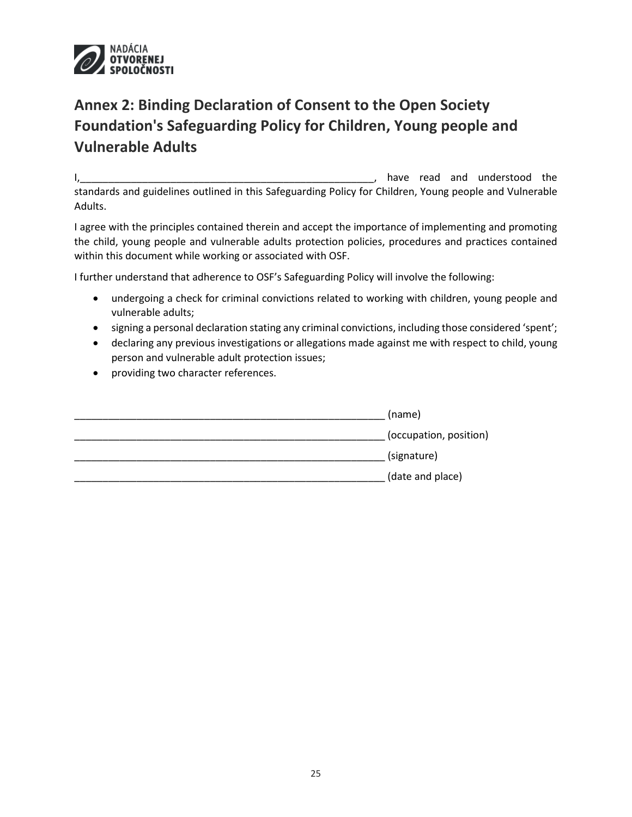

## <span id="page-24-0"></span>**Annex 2: Binding Declaration of Consent to the Open Society Foundation's Safeguarding Policy for Children, Young people and Vulnerable Adults**

I, the contract of the contract of the contract of the contract of the contract of the contract of the contract of the contract of the contract of the contract of the contract of the contract of the contract of the contrac standards and guidelines outlined in this Safeguarding Policy for Children, Young people and Vulnerable Adults.

I agree with the principles contained therein and accept the importance of implementing and promoting the child, young people and vulnerable adults protection policies, procedures and practices contained within this document while working or associated with OSF.

I further understand that adherence to OSF's Safeguarding Policy will involve the following:

- undergoing a check for criminal convictions related to working with children, young people and vulnerable adults;
- signing a personal declaration stating any criminal convictions, including those considered 'spent';
- declaring any previous investigations or allegations made against me with respect to child, young person and vulnerable adult protection issues;
- providing two character references.

| (name)                 |
|------------------------|
| (occupation, position) |
| (signature)            |
| (date and place)       |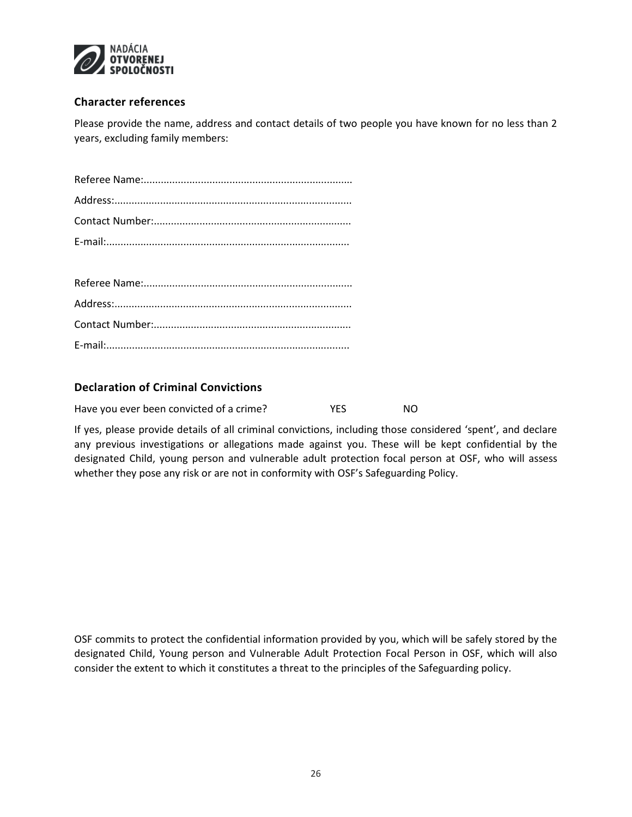

### **Character references**

Please provide the name, address and contact details of two people you have known for no less than 2 years, excluding family members:

### **Declaration of Criminal Convictions**

| Have you ever been convicted of a crime? | <b>YES</b> | NO. |
|------------------------------------------|------------|-----|
|------------------------------------------|------------|-----|

If yes, please provide details of all criminal convictions, including those considered 'spent', and declare any previous investigations or allegations made against you. These will be kept confidential by the designated Child, young person and vulnerable adult protection focal person at OSF, who will assess whether they pose any risk or are not in conformity with OSF's Safeguarding Policy.

OSF commits to protect the confidential information provided by you, which will be safely stored by the designated Child, Young person and Vulnerable Adult Protection Focal Person in OSF, which will also consider the extent to which it constitutes a threat to the principles of the Safeguarding policy.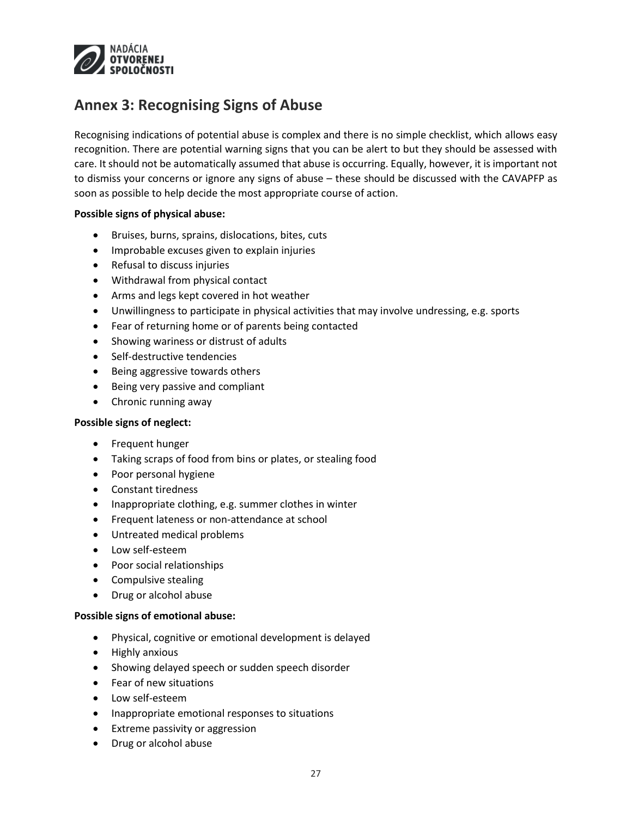

### <span id="page-26-0"></span>**Annex 3: Recognising Signs of Abuse**

Recognising indications of potential abuse is complex and there is no simple checklist, which allows easy recognition. There are potential warning signs that you can be alert to but they should be assessed with care. It should not be automatically assumed that abuse is occurring. Equally, however, it is important not to dismiss your concerns or ignore any signs of abuse – these should be discussed with the CAVAPFP as soon as possible to help decide the most appropriate course of action.

#### **Possible signs of physical abuse:**

- Bruises, burns, sprains, dislocations, bites, cuts
- Improbable excuses given to explain injuries
- Refusal to discuss injuries
- Withdrawal from physical contact
- Arms and legs kept covered in hot weather
- Unwillingness to participate in physical activities that may involve undressing, e.g. sports
- Fear of returning home or of parents being contacted
- Showing wariness or distrust of adults
- Self-destructive tendencies
- Being aggressive towards others
- Being very passive and compliant
- Chronic running away

#### **Possible signs of neglect:**

- Frequent hunger
- Taking scraps of food from bins or plates, or stealing food
- Poor personal hygiene
- Constant tiredness
- Inappropriate clothing, e.g. summer clothes in winter
- **•** Frequent lateness or non-attendance at school
- Untreated medical problems
- Low self-esteem
- Poor social relationships
- Compulsive stealing
- Drug or alcohol abuse

#### **Possible signs of emotional abuse:**

- Physical, cognitive or emotional development is delayed
- Highly anxious
- Showing delayed speech or sudden speech disorder
- Fear of new situations
- Low self-esteem
- Inappropriate emotional responses to situations
- Extreme passivity or aggression
- Drug or alcohol abuse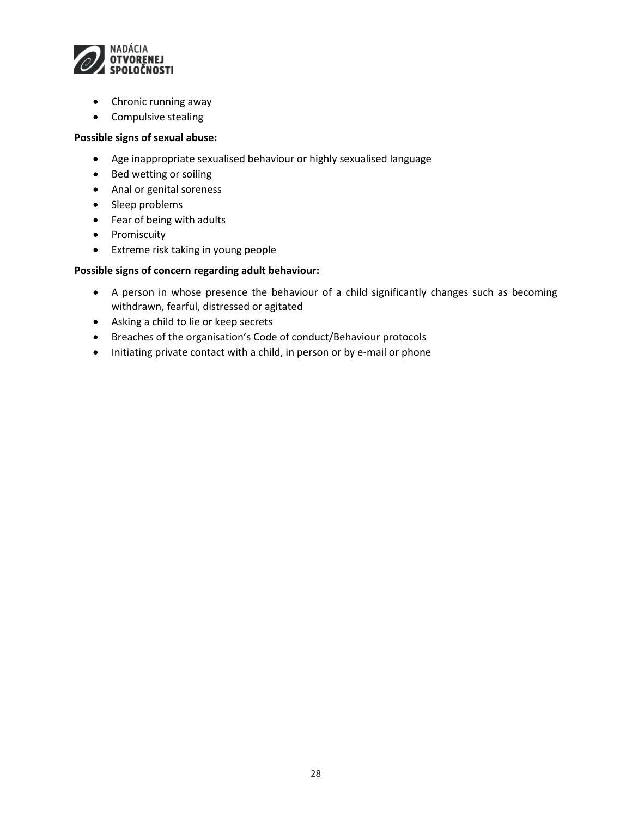

- Chronic running away
- Compulsive stealing

#### **Possible signs of sexual abuse:**

- Age inappropriate sexualised behaviour or highly sexualised language
- Bed wetting or soiling
- Anal or genital soreness
- Sleep problems
- Fear of being with adults
- Promiscuity
- Extreme risk taking in young people

#### **Possible signs of concern regarding adult behaviour:**

- A person in whose presence the behaviour of a child significantly changes such as becoming withdrawn, fearful, distressed or agitated
- Asking a child to lie or keep secrets
- Breaches of the organisation's Code of conduct/Behaviour protocols
- Initiating private contact with a child, in person or by e-mail or phone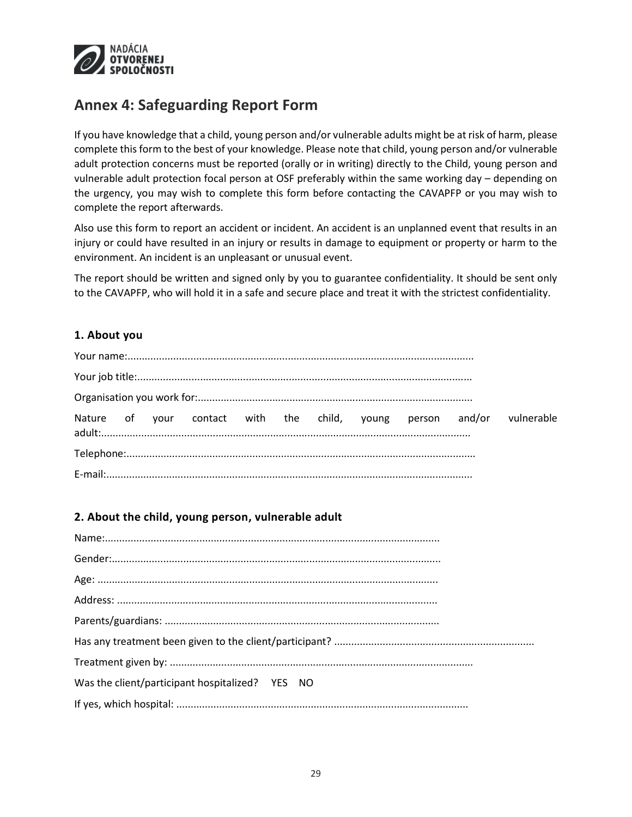

### <span id="page-28-0"></span>**Annex 4: Safeguarding Report Form**

If you have knowledge that a child, young person and/or vulnerable adults might be at risk of harm, please complete this form to the best of your knowledge. Please note that child, young person and/or vulnerable adult protection concerns must be reported (orally or in writing) directly to the Child, young person and vulnerable adult protection focal person at OSF preferably within the same working day – depending on the urgency, you may wish to complete this form before contacting the CAVAPFP or you may wish to complete the report afterwards.

Also use this form to report an accident or incident. An accident is an unplanned event that results in an injury or could have resulted in an injury or results in damage to equipment or property or harm to the environment. An incident is an unpleasant or unusual event.

The report should be written and signed only by you to guarantee confidentiality. It should be sent only to the CAVAPFP, who will hold it in a safe and secure place and treat it with the strictest confidentiality.

### **1. About you**

|  |  |  |  |  | Nature of your contact with the child, young person and/or vulnerable |
|--|--|--|--|--|-----------------------------------------------------------------------|
|  |  |  |  |  |                                                                       |
|  |  |  |  |  |                                                                       |

### **2. About the child, young person, vulnerable adult**

| Was the client/participant hospitalized? YES NO |
|-------------------------------------------------|
|                                                 |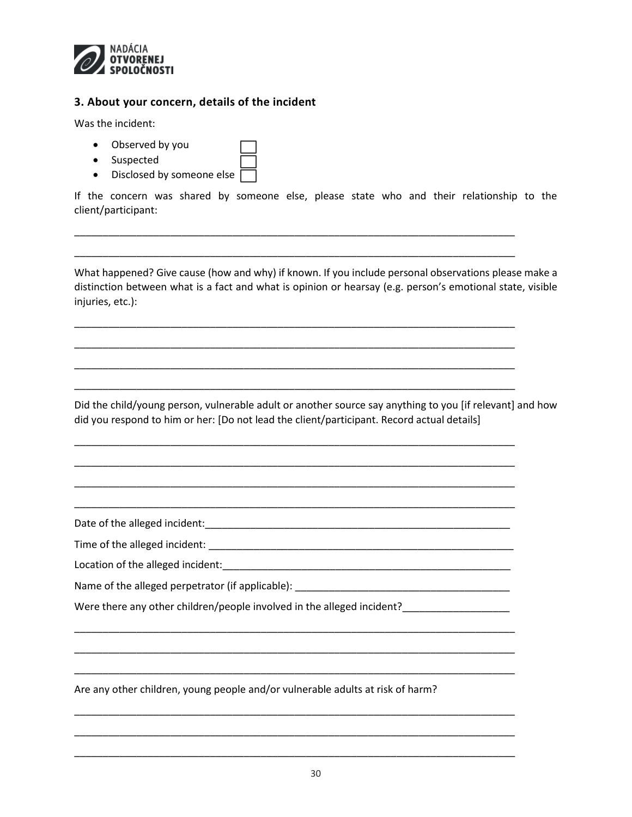

### **3. About your concern, details of the incident**

Was the incident:

- Observed by you
- Suspected
- Disclosed by someone else

If the concern was shared by someone else, please state who and their relationship to the client/participant:

\_\_\_\_\_\_\_\_\_\_\_\_\_\_\_\_\_\_\_\_\_\_\_\_\_\_\_\_\_\_\_\_\_\_\_\_\_\_\_\_\_\_\_\_\_\_\_\_\_\_\_\_\_\_\_\_\_\_\_\_\_\_\_\_\_\_\_\_\_\_\_\_\_\_\_\_\_\_

\_\_\_\_\_\_\_\_\_\_\_\_\_\_\_\_\_\_\_\_\_\_\_\_\_\_\_\_\_\_\_\_\_\_\_\_\_\_\_\_\_\_\_\_\_\_\_\_\_\_\_\_\_\_\_\_\_\_\_\_\_\_\_\_\_\_\_\_\_\_\_\_\_\_\_\_\_\_

\_\_\_\_\_\_\_\_\_\_\_\_\_\_\_\_\_\_\_\_\_\_\_\_\_\_\_\_\_\_\_\_\_\_\_\_\_\_\_\_\_\_\_\_\_\_\_\_\_\_\_\_\_\_\_\_\_\_\_\_\_\_\_\_\_\_\_\_\_\_\_\_\_\_\_\_\_\_

\_\_\_\_\_\_\_\_\_\_\_\_\_\_\_\_\_\_\_\_\_\_\_\_\_\_\_\_\_\_\_\_\_\_\_\_\_\_\_\_\_\_\_\_\_\_\_\_\_\_\_\_\_\_\_\_\_\_\_\_\_\_\_\_\_\_\_\_\_\_\_\_\_\_\_\_\_\_

\_\_\_\_\_\_\_\_\_\_\_\_\_\_\_\_\_\_\_\_\_\_\_\_\_\_\_\_\_\_\_\_\_\_\_\_\_\_\_\_\_\_\_\_\_\_\_\_\_\_\_\_\_\_\_\_\_\_\_\_\_\_\_\_\_\_\_\_\_\_\_\_\_\_\_\_\_\_

\_\_\_\_\_\_\_\_\_\_\_\_\_\_\_\_\_\_\_\_\_\_\_\_\_\_\_\_\_\_\_\_\_\_\_\_\_\_\_\_\_\_\_\_\_\_\_\_\_\_\_\_\_\_\_\_\_\_\_\_\_\_\_\_\_\_\_\_\_\_\_\_\_\_\_\_\_\_

\_\_\_\_\_\_\_\_\_\_\_\_\_\_\_\_\_\_\_\_\_\_\_\_\_\_\_\_\_\_\_\_\_\_\_\_\_\_\_\_\_\_\_\_\_\_\_\_\_\_\_\_\_\_\_\_\_\_\_\_\_\_\_\_\_\_\_\_\_\_\_\_\_\_\_\_\_\_

\_\_\_\_\_\_\_\_\_\_\_\_\_\_\_\_\_\_\_\_\_\_\_\_\_\_\_\_\_\_\_\_\_\_\_\_\_\_\_\_\_\_\_\_\_\_\_\_\_\_\_\_\_\_\_\_\_\_\_\_\_\_\_\_\_\_\_\_\_\_\_\_\_\_\_\_\_\_

\_\_\_\_\_\_\_\_\_\_\_\_\_\_\_\_\_\_\_\_\_\_\_\_\_\_\_\_\_\_\_\_\_\_\_\_\_\_\_\_\_\_\_\_\_\_\_\_\_\_\_\_\_\_\_\_\_\_\_\_\_\_\_\_\_\_\_\_\_\_\_\_\_\_\_\_\_\_

\_\_\_\_\_\_\_\_\_\_\_\_\_\_\_\_\_\_\_\_\_\_\_\_\_\_\_\_\_\_\_\_\_\_\_\_\_\_\_\_\_\_\_\_\_\_\_\_\_\_\_\_\_\_\_\_\_\_\_\_\_\_\_\_\_\_\_\_\_\_\_\_\_\_\_\_\_\_

\_\_\_\_\_\_\_\_\_\_\_\_\_\_\_\_\_\_\_\_\_\_\_\_\_\_\_\_\_\_\_\_\_\_\_\_\_\_\_\_\_\_\_\_\_\_\_\_\_\_\_\_\_\_\_\_\_\_\_\_\_\_\_\_\_\_\_\_\_\_\_\_\_\_\_\_\_\_

\_\_\_\_\_\_\_\_\_\_\_\_\_\_\_\_\_\_\_\_\_\_\_\_\_\_\_\_\_\_\_\_\_\_\_\_\_\_\_\_\_\_\_\_\_\_\_\_\_\_\_\_\_\_\_\_\_\_\_\_\_\_\_\_\_\_\_\_\_\_\_\_\_\_\_\_\_\_

\_\_\_\_\_\_\_\_\_\_\_\_\_\_\_\_\_\_\_\_\_\_\_\_\_\_\_\_\_\_\_\_\_\_\_\_\_\_\_\_\_\_\_\_\_\_\_\_\_\_\_\_\_\_\_\_\_\_\_\_\_\_\_\_\_\_\_\_\_\_\_\_\_\_\_\_\_\_

\_\_\_\_\_\_\_\_\_\_\_\_\_\_\_\_\_\_\_\_\_\_\_\_\_\_\_\_\_\_\_\_\_\_\_\_\_\_\_\_\_\_\_\_\_\_\_\_\_\_\_\_\_\_\_\_\_\_\_\_\_\_\_\_\_\_\_\_\_\_\_\_\_\_\_\_\_\_

\_\_\_\_\_\_\_\_\_\_\_\_\_\_\_\_\_\_\_\_\_\_\_\_\_\_\_\_\_\_\_\_\_\_\_\_\_\_\_\_\_\_\_\_\_\_\_\_\_\_\_\_\_\_\_\_\_\_\_\_\_\_\_\_\_\_\_\_\_\_\_\_\_\_\_\_\_\_

\_\_\_\_\_\_\_\_\_\_\_\_\_\_\_\_\_\_\_\_\_\_\_\_\_\_\_\_\_\_\_\_\_\_\_\_\_\_\_\_\_\_\_\_\_\_\_\_\_\_\_\_\_\_\_\_\_\_\_\_\_\_\_\_\_\_\_\_\_\_\_\_\_\_\_\_\_\_

What happened? Give cause (how and why) if known. If you include personal observations please make a distinction between what is a fact and what is opinion or hearsay (e.g. person's emotional state, visible injuries, etc.):

Did the child/young person, vulnerable adult or another source say anything to you [if relevant] and how did you respond to him or her: [Do not lead the client/participant. Record actual details]

Date of the alleged incident:  $\Box$ 

Time of the alleged incident: \_\_\_\_\_\_\_\_\_\_\_\_\_\_\_\_\_\_\_\_\_\_\_\_\_\_\_\_\_\_\_\_\_\_\_\_\_\_\_\_\_\_\_\_\_\_\_\_\_\_\_\_\_\_

Location of the alleged incident: Location and the structure of the alleged incident:

Name of the alleged perpetrator (if applicable): \_\_\_\_\_\_\_\_\_\_\_\_\_\_\_\_\_\_\_\_\_\_\_\_\_\_\_\_\_\_\_

Were there any other children/people involved in the alleged incident?\_\_\_\_\_\_\_\_\_\_\_\_\_\_\_\_

Are any other children, young people and/or vulnerable adults at risk of harm?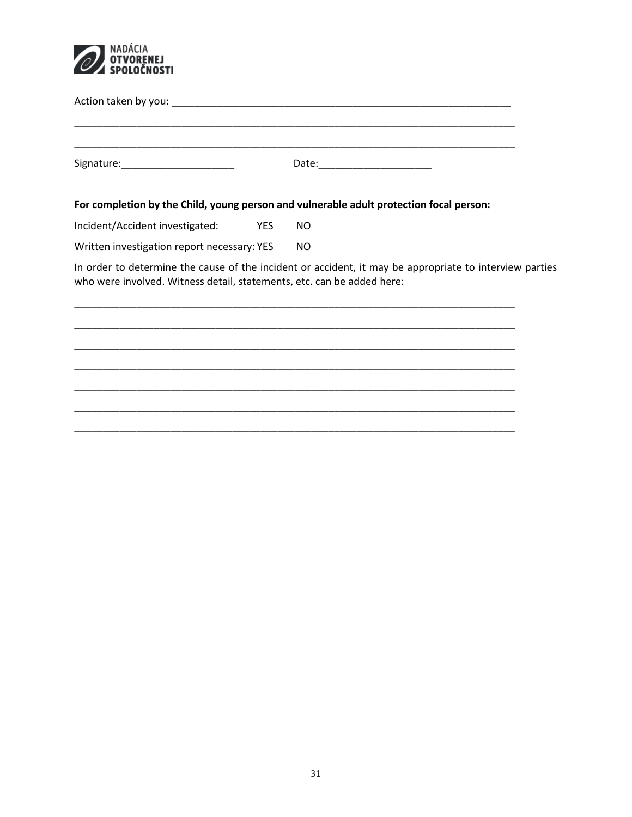

| Signature: _________________________                                   |            |                                                                                                                                                                     |
|------------------------------------------------------------------------|------------|---------------------------------------------------------------------------------------------------------------------------------------------------------------------|
|                                                                        |            | For completion by the Child, young person and vulnerable adult protection focal person:                                                                             |
| Incident/Accident investigated:                                        | <b>YES</b> | NO                                                                                                                                                                  |
| Written investigation report necessary: YES                            |            | <b>NO</b>                                                                                                                                                           |
| who were involved. Witness detail, statements, etc. can be added here: |            | In order to determine the cause of the incident or accident, it may be appropriate to interview parties<br><u> 1980 - Jan Barat, Amerikaansk politiker († 1908)</u> |
|                                                                        |            |                                                                                                                                                                     |
|                                                                        |            |                                                                                                                                                                     |
|                                                                        |            |                                                                                                                                                                     |
|                                                                        |            |                                                                                                                                                                     |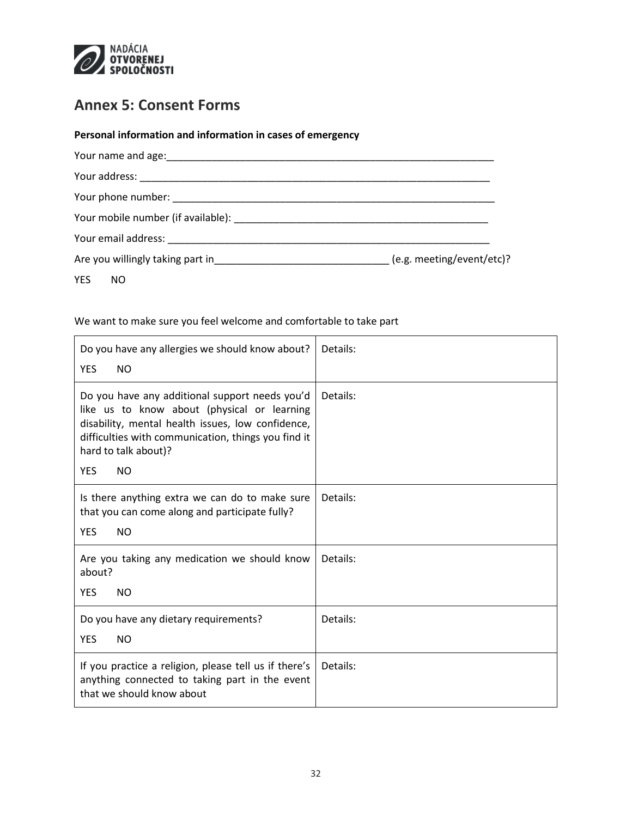

### <span id="page-31-0"></span>**Annex 5: Consent Forms**

| Personal information and information in cases of emergency                                 |  |
|--------------------------------------------------------------------------------------------|--|
|                                                                                            |  |
|                                                                                            |  |
|                                                                                            |  |
|                                                                                            |  |
|                                                                                            |  |
| Are you willingly taking part in_________________________________(e.g. meeting/event/etc)? |  |
| YES NO                                                                                     |  |

We want to make sure you feel welcome and comfortable to take part

| Do you have any allergies we should know about?<br><b>YES</b><br><b>NO</b>                                                                                                                                                                                   | Details: |
|--------------------------------------------------------------------------------------------------------------------------------------------------------------------------------------------------------------------------------------------------------------|----------|
| Do you have any additional support needs you'd<br>like us to know about (physical or learning<br>disability, mental health issues, low confidence,<br>difficulties with communication, things you find it<br>hard to talk about)?<br><b>NO</b><br><b>YES</b> | Details: |
| Is there anything extra we can do to make sure<br>that you can come along and participate fully?<br><b>YES</b><br><b>NO</b>                                                                                                                                  | Details: |
| Are you taking any medication we should know<br>about?<br><b>YES</b><br><b>NO</b>                                                                                                                                                                            | Details: |
| Do you have any dietary requirements?<br><b>YES</b><br><b>NO</b>                                                                                                                                                                                             | Details: |
| If you practice a religion, please tell us if there's<br>anything connected to taking part in the event<br>that we should know about                                                                                                                         | Details: |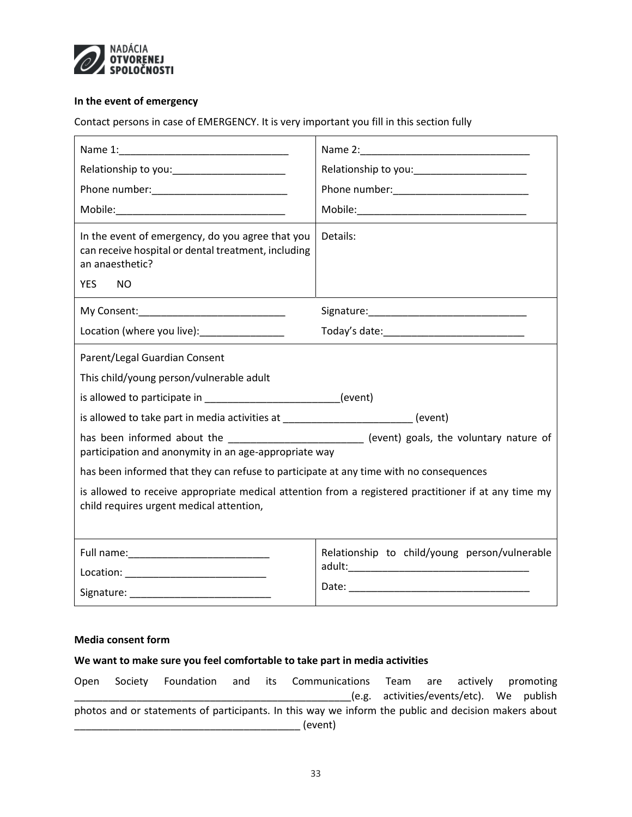

#### **In the event of emergency**

Contact persons in case of EMERGENCY. It is very important you fill in this section fully

| Relationship to you:________________________                                                                                                           | Relationship to you:_________________________ |  |  |  |
|--------------------------------------------------------------------------------------------------------------------------------------------------------|-----------------------------------------------|--|--|--|
|                                                                                                                                                        |                                               |  |  |  |
|                                                                                                                                                        |                                               |  |  |  |
| In the event of emergency, do you agree that you<br>can receive hospital or dental treatment, including<br>an anaesthetic?<br><b>YES</b><br>NO.        | Details:                                      |  |  |  |
|                                                                                                                                                        |                                               |  |  |  |
| Location (where you live):________________                                                                                                             | Today's date:_______________________________  |  |  |  |
| Parent/Legal Guardian Consent                                                                                                                          |                                               |  |  |  |
| This child/young person/vulnerable adult                                                                                                               |                                               |  |  |  |
| is allowed to participate in _________________________(event)                                                                                          |                                               |  |  |  |
| is allowed to take part in media activities at _________________________(event)                                                                        |                                               |  |  |  |
| has been informed about the __________________________ (event) goals, the voluntary nature of<br>participation and anonymity in an age-appropriate way |                                               |  |  |  |
| has been informed that they can refuse to participate at any time with no consequences                                                                 |                                               |  |  |  |
| is allowed to receive appropriate medical attention from a registered practitioner if at any time my<br>child requires urgent medical attention,       |                                               |  |  |  |
|                                                                                                                                                        | Relationship to child/young person/vulnerable |  |  |  |
|                                                                                                                                                        |                                               |  |  |  |

#### **Media consent form**

#### **We want to make sure you feel comfortable to take part in media activities**

Open Society Foundation and its Communications Team are actively promoting \_\_\_\_\_\_\_\_\_\_\_\_\_\_\_\_\_\_\_\_\_\_\_\_\_\_\_\_\_\_\_\_\_\_\_\_\_\_\_\_\_\_\_\_\_\_\_\_\_(e.g. activities/events/etc). We publish photos and or statements of participants. In this way we inform the public and decision makers about  $_$  (event)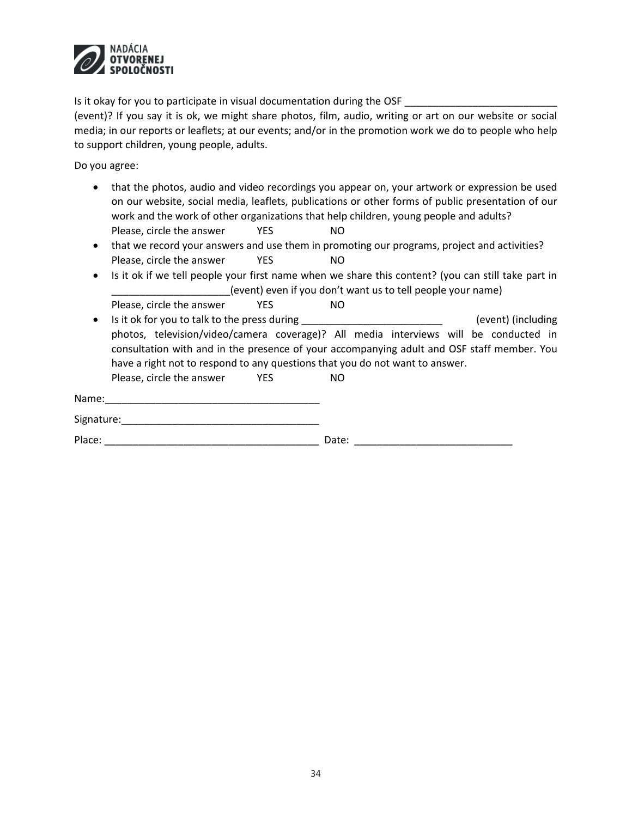

Is it okay for you to participate in visual documentation during the OSF \_\_\_\_\_\_\_\_

(event)? If you say it is ok, we might share photos, film, audio, writing or art on our website or social media; in our reports or leaflets; at our events; and/or in the promotion work we do to people who help to support children, young people, adults.

Do you agree:

- that the photos, audio and video recordings you appear on, your artwork or expression be used on our website, social media, leaflets, publications or other forms of public presentation of our work and the work of other organizations that help children, young people and adults? Please, circle the answer YES NO
- that we record your answers and use them in promoting our programs, project and activities? Please, circle the answer YES NO
- Is it ok if we tell people your first name when we share this content? (you can still take part in (event) even if you don't want us to tell people your name) Please, circle the answer YES NO
- Is it ok for you to talk to the press during equal to the press during (event) (including photos, television/video/camera coverage)? All media interviews will be conducted in consultation with and in the presence of your accompanying adult and OSF staff member. You have a right not to respond to any questions that you do not want to answer.

| Please, circle the answer | YES | NO. |
|---------------------------|-----|-----|
|                           |     |     |

| Name:      |  |  |  |
|------------|--|--|--|
| Signature: |  |  |  |

Place: \_\_\_\_\_\_\_\_\_\_\_\_\_\_\_\_\_\_\_\_\_\_\_\_\_\_\_\_\_\_\_\_\_\_\_\_\_\_ Date: \_\_\_\_\_\_\_\_\_\_\_\_\_\_\_\_\_\_\_\_\_\_\_\_\_\_\_\_